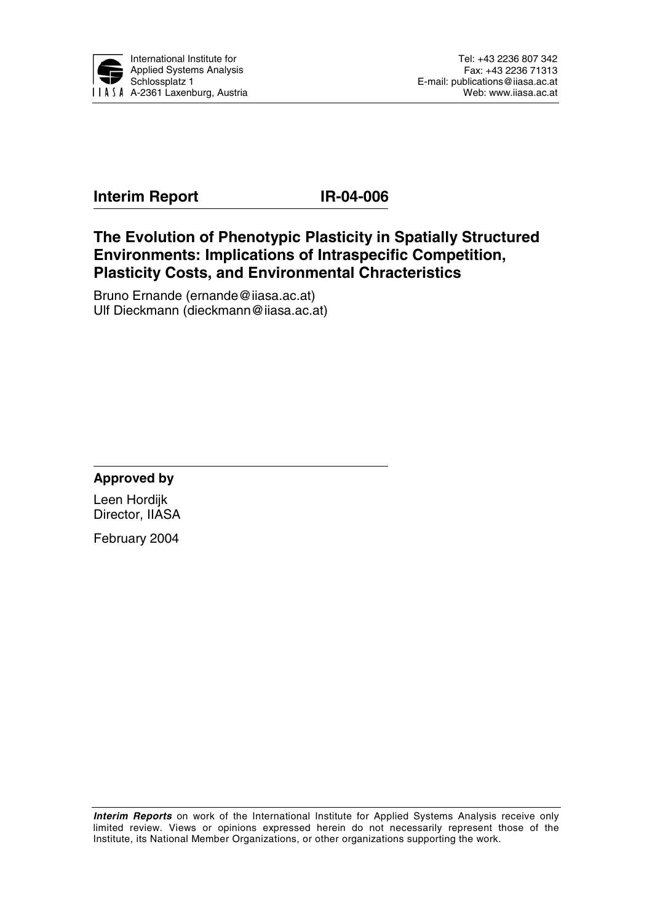

# **Interim Report IR-04-006**

**The Evolution of Phenotypic Plasticity in Spatially Structured Environments: Implications of Intraspecific Competition, Plasticity Costs, and Environmental Chracteristics** 

Bruno Ernande (ernande@iiasa.ac.at) Ulf Dieckmann (dieckmann@iiasa.ac.at)

**Approved by** 

Leen Hordijk Director, IIASA

February 2004

**Interim Reports** on work of the International Institute for Applied Systems Analysis receive only limited review. Views or opinions expressed herein do not necessarily represent those of the Institute, its National Member Organizations, or other organizations supporting the work.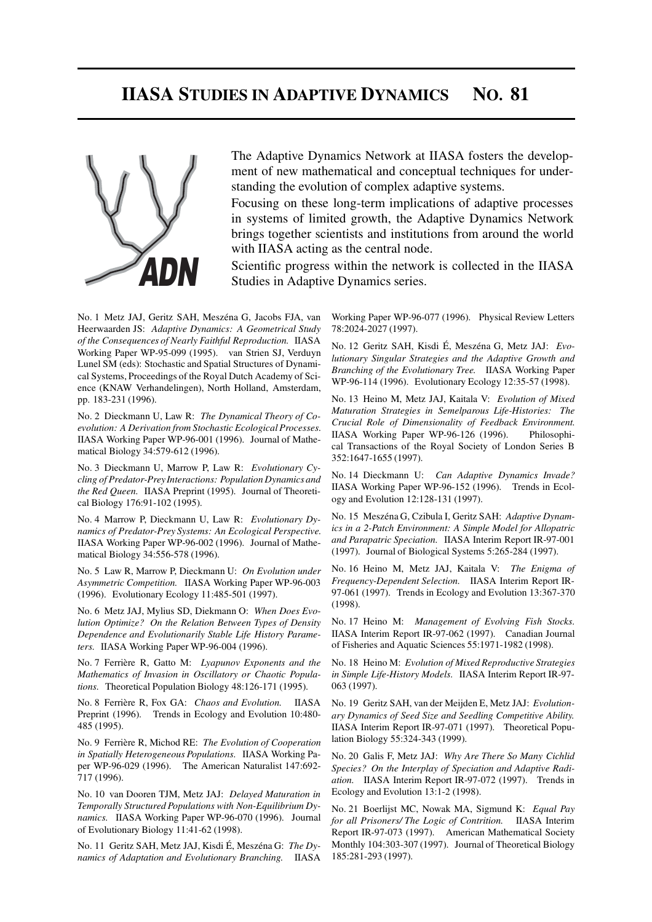# **IIASA STUDIES IN ADAPTIVE DYNAMICS NO. 81**



The Adaptive Dynamics Network at IIASA fosters the development of new mathematical and conceptual techniques for understanding the evolution of complex adaptive systems.

Focusing on these long-term implications of adaptive processes in systems of limited growth, the Adaptive Dynamics Network brings together scientists and institutions from around the world with IIASA acting as the central node.

Scientific progress within the network is collected in the IIASA Studies in Adaptive Dynamics series.

No. 1 Metz JAJ, Geritz SAH, Meszéna G, Jacobs FJA, van Heerwaarden JS: *Adaptive Dynamics: A Geometrical Study of the Consequences of Nearly Faithful Reproduction.* IIASA Working Paper WP-95-099 (1995). van Strien SJ, Verduyn Lunel SM (eds): Stochastic and Spatial Structures of Dynamical Systems, Proceedings of the Royal Dutch Academy of Science (KNAW Verhandelingen), North Holland, Amsterdam, pp. 183-231 (1996).

No. 2 Dieckmann U, Law R: *The Dynamical Theory of Coevolution: A Derivation from Stochastic Ecological Processes.* IIASA Working Paper WP-96-001 (1996). Journal of Mathematical Biology 34:579-612 (1996).

No. 3 Dieckmann U, Marrow P, Law R: *Evolutionary Cycling of Predator-Prey Interactions: Population Dynamics and the Red Queen.* IIASA Preprint (1995). Journal of Theoretical Biology 176:91-102 (1995).

No. 4 Marrow P, Dieckmann U, Law R: *Evolutionary Dynamics of Predator-Prey Systems: An Ecological Perspective.* IIASA Working Paper WP-96-002 (1996). Journal of Mathematical Biology 34:556-578 (1996).

No. 5 Law R, Marrow P, Dieckmann U: *On Evolution under Asymmetric Competition.* IIASA Working Paper WP-96-003 (1996). Evolutionary Ecology 11:485-501 (1997).

No. 6 Metz JAJ, Mylius SD, Diekmann O: *When Does Evolution Optimize? On the Relation Between Types of Density Dependence and Evolutionarily Stable Life History Parameters.* IIASA Working Paper WP-96-004 (1996).

No. 7 Ferrière R, Gatto M: *Lyapunov Exponents and the Mathematics of Invasion in Oscillatory or Chaotic Populations.* Theoretical Population Biology 48:126-171 (1995).

No. 8 Ferrière R, Fox GA: *Chaos and Evolution.* IIASA Preprint (1996). Trends in Ecology and Evolution 10:480- 485 (1995).

No. 9 Ferrière R, Michod RE: *The Evolution of Cooperation in Spatially Heterogeneous Populations.* IIASA Working Paper WP-96-029 (1996). The American Naturalist 147:692- 717 (1996).

No. 10 van Dooren TJM, Metz JAJ: *Delayed Maturation in Temporally Structured Populations with Non-Equilibrium Dynamics.* IIASA Working Paper WP-96-070 (1996). Journal of Evolutionary Biology 11:41-62 (1998).

No. 11 Geritz SAH, Metz JAJ, Kisdi É, Meszéna G: *The Dynamics of Adaptation and Evolutionary Branching.* IIASA Working Paper WP-96-077 (1996). Physical Review Letters 78:2024-2027 (1997).

No. 12 Geritz SAH, Kisdi É, Meszéna G, Metz JAJ: *Evolutionary Singular Strategies and the Adaptive Growth and Branching of the Evolutionary Tree.* IIASA Working Paper WP-96-114 (1996). Evolutionary Ecology 12:35-57 (1998).

No. 13 Heino M, Metz JAJ, Kaitala V: *Evolution of Mixed Maturation Strategies in Semelparous Life-Histories: The Crucial Role of Dimensionality of Feedback Environment.* IIASA Working Paper WP-96-126 (1996). Philosophical Transactions of the Royal Society of London Series B 352:1647-1655 (1997).

No. 14 Dieckmann U: *Can Adaptive Dynamics Invade?* IIASA Working Paper WP-96-152 (1996). Trends in Ecology and Evolution 12:128-131 (1997).

No. 15 Meszéna G, Czibula I, Geritz SAH: *Adaptive Dynamics in a 2-Patch Environment: A Simple Model for Allopatric and Parapatric Speciation.* IIASA Interim Report IR-97-001 (1997). Journal of Biological Systems 5:265-284 (1997).

No. 16 Heino M, Metz JAJ, Kaitala V: *The Enigma of Frequency-Dependent Selection.* IIASA Interim Report IR-97-061 (1997). Trends in Ecology and Evolution 13:367-370 (1998).

No. 17 Heino M: *Management of Evolving Fish Stocks.* IIASA Interim Report IR-97-062 (1997). Canadian Journal of Fisheries and Aquatic Sciences 55:1971-1982 (1998).

No. 18 Heino M: *Evolution of Mixed Reproductive Strategies in Simple Life-History Models.* IIASA Interim Report IR-97- 063 (1997).

No. 19 Geritz SAH, van der Meijden E, Metz JAJ: *Evolutionary Dynamics of Seed Size and Seedling Competitive Ability.* IIASA Interim Report IR-97-071 (1997). Theoretical Population Biology 55:324-343 (1999).

No. 20 Galis F, Metz JAJ: *Why Are There So Many Cichlid Species? On the Interplay of Speciation and Adaptive Radiation.* IIASA Interim Report IR-97-072 (1997). Trends in Ecology and Evolution 13:1-2 (1998).

No. 21 Boerlijst MC, Nowak MA, Sigmund K: *Equal Pay for all Prisoners/ The Logic of Contrition.* IIASA Interim Report IR-97-073 (1997). American Mathematical Society Monthly 104:303-307 (1997). Journal of Theoretical Biology 185:281-293 (1997).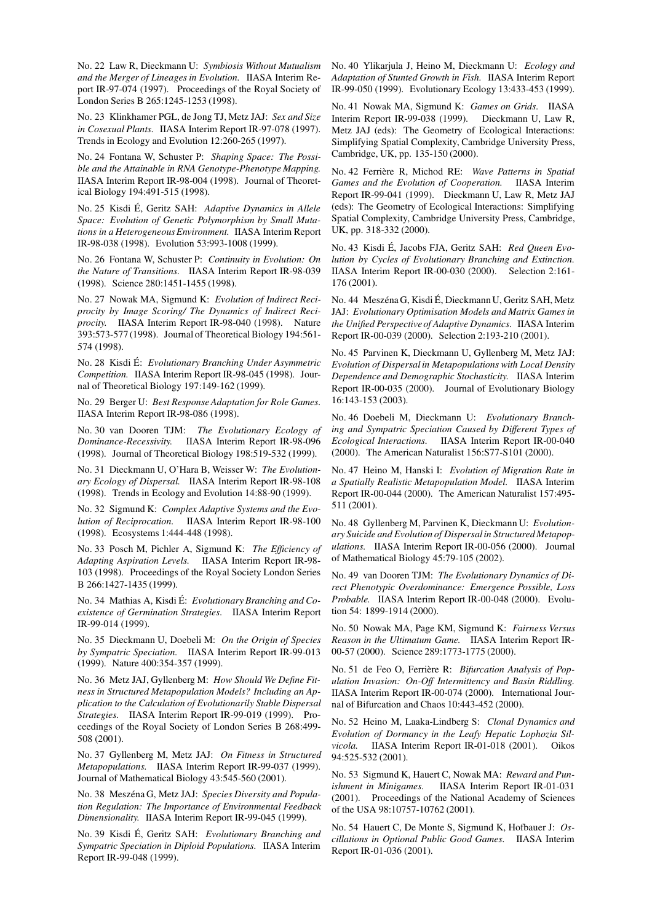No. 22 Law R, Dieckmann U: *Symbiosis Without Mutualism and the Merger of Lineages in Evolution.* IIASA Interim Report IR-97-074 (1997). Proceedings of the Royal Society of London Series B 265:1245-1253 (1998).

No. 23 Klinkhamer PGL, de Jong TJ, Metz JAJ: *Sex and Size in Cosexual Plants.* IIASA Interim Report IR-97-078 (1997). Trends in Ecology and Evolution 12:260-265 (1997).

No. 24 Fontana W, Schuster P: *Shaping Space: The Possible and the Attainable in RNA Genotype-Phenotype Mapping.* IIASA Interim Report IR-98-004 (1998). Journal of Theoretical Biology 194:491-515 (1998).

No. 25 Kisdi É, Geritz SAH: *Adaptive Dynamics in Allele Space: Evolution of Genetic Polymorphism by Small Mutations in a HeterogeneousEnvironment.* IIASA Interim Report IR-98-038 (1998). Evolution 53:993-1008 (1999).

No. 26 Fontana W, Schuster P: *Continuity in Evolution: On the Nature of Transitions.* IIASA Interim Report IR-98-039 (1998). Science 280:1451-1455 (1998).

No. 27 Nowak MA, Sigmund K: *Evolution of Indirect Reciprocity by Image Scoring/ The Dynamics of Indirect Reciprocity.* IIASA Interim Report IR-98-040 (1998). Nature 393:573-577 (1998). Journal of Theoretical Biology 194:561- 574 (1998).

No. 28 Kisdi É: *Evolutionary Branching Under Asymmetric Competition.* IIASA Interim Report IR-98-045 (1998). Journal of Theoretical Biology 197:149-162 (1999).

No. 29 Berger U: *Best Response Adaptation for Role Games.* IIASA Interim Report IR-98-086 (1998).

No. 30 van Dooren TJM: *The Evolutionary Ecology of Dominance-Recessivity.* IIASA Interim Report IR-98-096 (1998). Journal of Theoretical Biology 198:519-532 (1999).

No. 31 Dieckmann U, O'Hara B, Weisser W: *The Evolutionary Ecology of Dispersal.* IIASA Interim Report IR-98-108 (1998). Trends in Ecology and Evolution 14:88-90 (1999).

No. 32 Sigmund K: *Complex Adaptive Systems and the Evolution of Reciprocation.* IIASA Interim Report IR-98-100 (1998). Ecosystems 1:444-448 (1998).

No. 33 Posch M, Pichler A, Sigmund K: *The Efficiency of Adapting Aspiration Levels.* IIASA Interim Report IR-98- 103 (1998). Proceedings of the Royal Society London Series B 266:1427-1435 (1999).

No. 34 Mathias A, Kisdi É: *Evolutionary Branching and Coexistence of Germination Strategies.* IIASA Interim Report IR-99-014 (1999).

No. 35 Dieckmann U, Doebeli M: *On the Origin of Species by Sympatric Speciation.* IIASA Interim Report IR-99-013 (1999). Nature 400:354-357 (1999).

No. 36 Metz JAJ, Gyllenberg M: *How Should We Define Fitness in Structured Metapopulation Models? Including an Application to the Calculation of Evolutionarily Stable Dispersal Strategies.* IIASA Interim Report IR-99-019 (1999). Proceedings of the Royal Society of London Series B 268:499- 508 (2001).

No. 37 Gyllenberg M, Metz JAJ: *On Fitness in Structured Metapopulations.* IIASA Interim Report IR-99-037 (1999). Journal of Mathematical Biology 43:545-560 (2001).

No. 38 Meszéna G, Metz JAJ: *Species Diversity and Population Regulation: The Importance of Environmental Feedback Dimensionality.* IIASA Interim Report IR-99-045 (1999).

No. 39 Kisdi É, Geritz SAH: *Evolutionary Branching and Sympatric Speciation in Diploid Populations.* IIASA Interim Report IR-99-048 (1999).

No. 40 Ylikarjula J, Heino M, Dieckmann U: *Ecology and Adaptation of Stunted Growth in Fish.* IIASA Interim Report IR-99-050 (1999). Evolutionary Ecology 13:433-453 (1999).

No. 41 Nowak MA, Sigmund K: *Games on Grids.* IIASA Interim Report IR-99-038 (1999). Dieckmann U, Law R, Metz JAJ (eds): The Geometry of Ecological Interactions: Simplifying Spatial Complexity, Cambridge University Press, Cambridge, UK, pp. 135-150 (2000).

No. 42 Ferrière R, Michod RE: *Wave Patterns in Spatial Games and the Evolution of Cooperation.* IIASA Interim Report IR-99-041 (1999). Dieckmann U, Law R, Metz JAJ (eds): The Geometry of Ecological Interactions: Simplifying Spatial Complexity, Cambridge University Press, Cambridge, UK, pp. 318-332 (2000).

No. 43 Kisdi É, Jacobs FJA, Geritz SAH: *Red Queen Evolution by Cycles of Evolutionary Branching and Extinction.* IIASA Interim Report IR-00-030 (2000). Selection 2:161- 176 (2001).

No. 44 Meszéna G, Kisdi É, Dieckmann U, Geritz SAH, Metz JAJ: *Evolutionary Optimisation Models and Matrix Games in the Unified Perspective of Adaptive Dynamics.* IIASA Interim Report IR-00-039 (2000). Selection 2:193-210 (2001).

No. 45 Parvinen K, Dieckmann U, Gyllenberg M, Metz JAJ: *Evolution of Dispersal in Metapopulations with Local Density Dependence and Demographic Stochasticity.* IIASA Interim Report IR-00-035 (2000). Journal of Evolutionary Biology 16:143-153 (2003).

No. 46 Doebeli M, Dieckmann U: *Evolutionary Branching and Sympatric Speciation Caused by Different Types of Ecological Interactions.* IIASA Interim Report IR-00-040 (2000). The American Naturalist 156:S77-S101 (2000).

No. 47 Heino M, Hanski I: *Evolution of Migration Rate in a Spatially Realistic Metapopulation Model.* IIASA Interim Report IR-00-044 (2000). The American Naturalist 157:495- 511 (2001).

No. 48 Gyllenberg M, Parvinen K, Dieckmann U: *Evolutionary Suicide and Evolution of Dispersalin Structured Metapopulations.* IIASA Interim Report IR-00-056 (2000). Journal of Mathematical Biology 45:79-105 (2002).

No. 49 van Dooren TJM: *The Evolutionary Dynamics of Direct Phenotypic Overdominance: Emergence Possible, Loss Probable.* IIASA Interim Report IR-00-048 (2000). Evolution 54: 1899-1914 (2000).

No. 50 Nowak MA, Page KM, Sigmund K: *Fairness Versus Reason in the Ultimatum Game.* IIASA Interim Report IR-00-57 (2000). Science 289:1773-1775 (2000).

No. 51 de Feo O, Ferrière R: *Bifurcation Analysis of Population Invasion: On-Off Intermittency and Basin Riddling.* IIASA Interim Report IR-00-074 (2000). International Journal of Bifurcation and Chaos 10:443-452 (2000).

No. 52 Heino M, Laaka-Lindberg S: *Clonal Dynamics and Evolution of Dormancy in the Leafy Hepatic Lophozia Silvicola.* IIASA Interim Report IR-01-018 (2001). Oikos 94:525-532 (2001).

No. 53 Sigmund K, Hauert C, Nowak MA: *Reward and Punishment in Minigames.* IIASA Interim Report IR-01-031 (2001). Proceedings of the National Academy of Sciences of the USA 98:10757-10762 (2001).

No. 54 Hauert C, De Monte S, Sigmund K, Hofbauer J: *Oscillations in Optional Public Good Games.* IIASA Interim Report IR-01-036 (2001).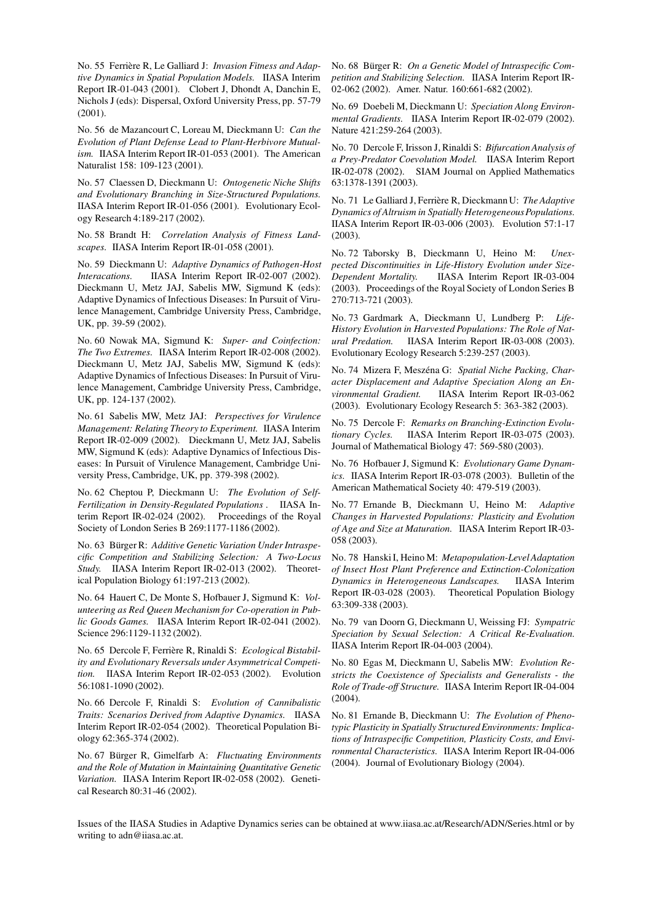No. 55 Ferrière R, Le Galliard J: *Invasion Fitness and Adaptive Dynamics in Spatial Population Models.* IIASA Interim Report IR-01-043 (2001). Clobert J, Dhondt A, Danchin E, Nichols J (eds): Dispersal, Oxford University Press, pp. 57-79 (2001).

No. 56 de Mazancourt C, Loreau M, Dieckmann U: *Can the Evolution of Plant Defense Lead to Plant-Herbivore Mutualism.* IIASA Interim Report IR-01-053 (2001). The American Naturalist 158: 109-123 (2001).

No. 57 Claessen D, Dieckmann U: *Ontogenetic Niche Shifts and Evolutionary Branching in Size-Structured Populations.* IIASA Interim Report IR-01-056 (2001). Evolutionary Ecology Research 4:189-217 (2002).

No. 58 Brandt H: *Correlation Analysis of Fitness Landscapes.* IIASA Interim Report IR-01-058 (2001).

No. 59 Dieckmann U: *Adaptive Dynamics of Pathogen-Host Interacations.* IIASA Interim Report IR-02-007 (2002). Dieckmann U, Metz JAJ, Sabelis MW, Sigmund K (eds): Adaptive Dynamics of Infectious Diseases: In Pursuit of Virulence Management, Cambridge University Press, Cambridge, UK, pp. 39-59 (2002).

No. 60 Nowak MA, Sigmund K: *Super- and Coinfection: The Two Extremes.* IIASA Interim Report IR-02-008 (2002). Dieckmann U, Metz JAJ, Sabelis MW, Sigmund K (eds): Adaptive Dynamics of Infectious Diseases: In Pursuit of Virulence Management, Cambridge University Press, Cambridge, UK, pp. 124-137 (2002).

No. 61 Sabelis MW, Metz JAJ: *Perspectives for Virulence Management: Relating Theory to Experiment.* IIASA Interim Report IR-02-009 (2002). Dieckmann U, Metz JAJ, Sabelis MW, Sigmund K (eds): Adaptive Dynamics of Infectious Diseases: In Pursuit of Virulence Management, Cambridge University Press, Cambridge, UK, pp. 379-398 (2002).

No. 62 Cheptou P, Dieckmann U: *The Evolution of Self-Fertilization in Density-Regulated Populations .* IIASA Interim Report IR-02-024 (2002). Proceedings of the Royal Society of London Series B 269:1177-1186 (2002).

No. 63 Bürger R: *Additive Genetic Variation Under Intraspecific Competition and Stabilizing Selection: A Two-Locus Study.* IIASA Interim Report IR-02-013 (2002). Theoretical Population Biology 61:197-213 (2002).

No. 64 Hauert C, De Monte S, Hofbauer J, Sigmund K: *Volunteering as Red Queen Mechanism for Co-operation in Public Goods Games.* IIASA Interim Report IR-02-041 (2002). Science 296:1129-1132 (2002).

No. 65 Dercole F, Ferrière R, Rinaldi S: *Ecological Bistability and Evolutionary Reversals under Asymmetrical Competition.* IIASA Interim Report IR-02-053 (2002). Evolution 56:1081-1090 (2002).

No. 66 Dercole F, Rinaldi S: *Evolution of Cannibalistic Traits: Scenarios Derived from Adaptive Dynamics.* IIASA Interim Report IR-02-054 (2002). Theoretical Population Biology 62:365-374 (2002).

No. 67 Bürger R, Gimelfarb A: *Fluctuating Environments and the Role of Mutation in Maintaining Quantitative Genetic Variation.* IIASA Interim Report IR-02-058 (2002). Genetical Research 80:31-46 (2002).

No. 68 Bürger R: *On a Genetic Model of Intraspecific Competition and Stabilizing Selection.* IIASA Interim Report IR-02-062 (2002). Amer. Natur. 160:661-682 (2002).

No. 69 Doebeli M, Dieckmann U: *Speciation Along Environmental Gradients.* IIASA Interim Report IR-02-079 (2002). Nature 421:259-264 (2003).

No. 70 Dercole F, Irisson J, Rinaldi S: *Bifurcation Analysis of a Prey-Predator Coevolution Model.* IIASA Interim Report IR-02-078 (2002). SIAM Journal on Applied Mathematics 63:1378-1391 (2003).

No. 71 Le Galliard J, Ferrière R, Dieckmann U: *The Adaptive Dynamics of Altruism in Spatially HeterogeneousPopulations.* IIASA Interim Report IR-03-006 (2003). Evolution 57:1-17 (2003).

No. 72 Taborsky B, Dieckmann U, Heino M: *Unexpected Discontinuities in Life-History Evolution under Size-Dependent Mortality.* IIASA Interim Report IR-03-004 (2003). Proceedings of the Royal Society of London Series B 270:713-721 (2003).

No. 73 Gardmark A, Dieckmann U, Lundberg P: *Life-History Evolution in Harvested Populations: The Role of Natural Predation.* IIASA Interim Report IR-03-008 (2003). Evolutionary Ecology Research 5:239-257 (2003).

No. 74 Mizera F, Meszéna G: *Spatial Niche Packing, Character Displacement and Adaptive Speciation Along an Environmental Gradient.* IIASA Interim Report IR-03-062 (2003). Evolutionary Ecology Research 5: 363-382 (2003).

No. 75 Dercole F: *Remarks on Branching-Extinction Evolutionary Cycles.* IIASA Interim Report IR-03-075 (2003). Journal of Mathematical Biology 47: 569-580 (2003).

No. 76 Hofbauer J, Sigmund K: *Evolutionary Game Dynamics.* IIASA Interim Report IR-03-078 (2003). Bulletin of the American Mathematical Society 40: 479-519 (2003).

No. 77 Ernande B, Dieckmann U, Heino M: *Adaptive Changes in Harvested Populations: Plasticity and Evolution of Age and Size at Maturation.* IIASA Interim Report IR-03- 058 (2003).

No. 78 Hanski I, Heino M: *Metapopulation-Level Adaptation of Insect Host Plant Preference and Extinction-Colonization Dynamics in Heterogeneous Landscapes.* IIASA Interim Report IR-03-028 (2003). Theoretical Population Biology 63:309-338 (2003).

No. 79 van Doorn G, Dieckmann U, Weissing FJ: *Sympatric Speciation by Sexual Selection: A Critical Re-Evaluation.* IIASA Interim Report IR-04-003 (2004).

No. 80 Egas M, Dieckmann U, Sabelis MW: *Evolution Restricts the Coexistence of Specialists and Generalists - the Role of Trade-off Structure.* IIASA Interim Report IR-04-004 (2004).

No. 81 Ernande B, Dieckmann U: *The Evolution of Phenotypic Plasticity in Spatially Structured Environments: Implications of Intraspecific Competition, Plasticity Costs, and Environmental Characteristics.* IIASA Interim Report IR-04-006 (2004). Journal of Evolutionary Biology (2004).

Issues of the IIASA Studies in Adaptive Dynamics series can be obtained at www.iiasa.ac.at/Research/ADN/Series.html or by writing to adn@iiasa.ac.at.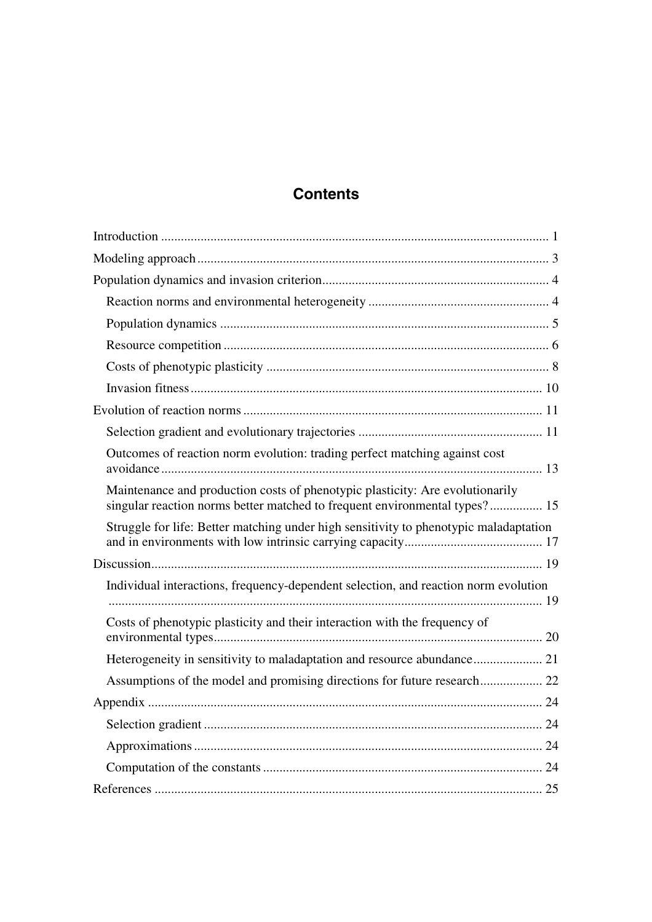# **Contents**

| Outcomes of reaction norm evolution: trading perfect matching against cost                                                                                  |
|-------------------------------------------------------------------------------------------------------------------------------------------------------------|
| Maintenance and production costs of phenotypic plasticity: Are evolutionarily<br>singular reaction norms better matched to frequent environmental types? 15 |
|                                                                                                                                                             |
| Struggle for life: Better matching under high sensitivity to phenotypic maladaptation                                                                       |
|                                                                                                                                                             |
| Individual interactions, frequency-dependent selection, and reaction norm evolution                                                                         |
| Costs of phenotypic plasticity and their interaction with the frequency of                                                                                  |
|                                                                                                                                                             |
|                                                                                                                                                             |
|                                                                                                                                                             |
|                                                                                                                                                             |
|                                                                                                                                                             |
|                                                                                                                                                             |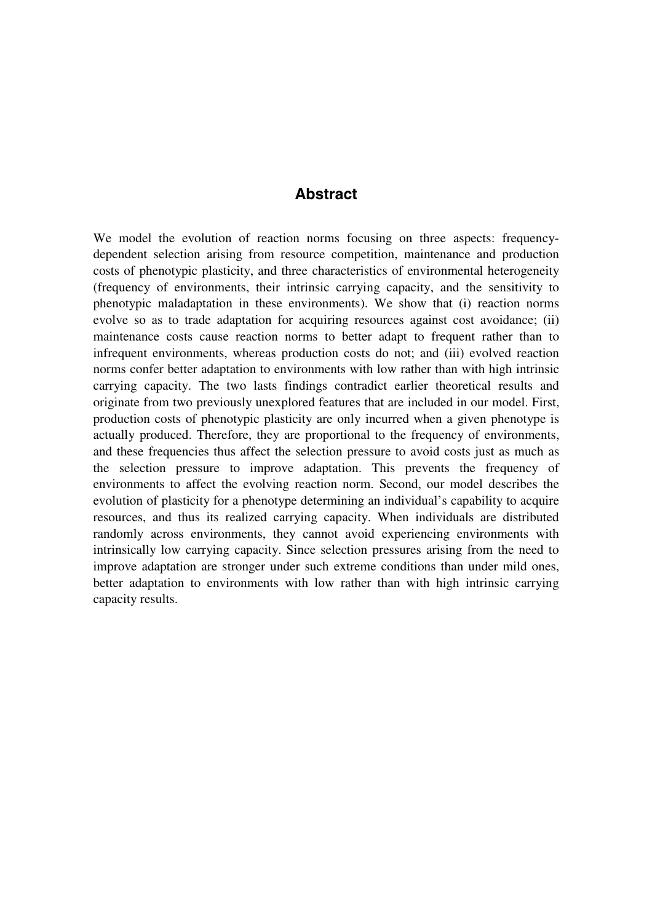## **Abstract**

We model the evolution of reaction norms focusing on three aspects: frequencydependent selection arising from resource competition, maintenance and production costs of phenotypic plasticity, and three characteristics of environmental heterogeneity (frequency of environments, their intrinsic carrying capacity, and the sensitivity to phenotypic maladaptation in these environments). We show that (i) reaction norms evolve so as to trade adaptation for acquiring resources against cost avoidance; (ii) maintenance costs cause reaction norms to better adapt to frequent rather than to infrequent environments, whereas production costs do not; and (iii) evolved reaction norms confer better adaptation to environments with low rather than with high intrinsic carrying capacity. The two lasts findings contradict earlier theoretical results and originate from two previously unexplored features that are included in our model. First, production costs of phenotypic plasticity are only incurred when a given phenotype is actually produced. Therefore, they are proportional to the frequency of environments, and these frequencies thus affect the selection pressure to avoid costs just as much as the selection pressure to improve adaptation. This prevents the frequency of environments to affect the evolving reaction norm. Second, our model describes the evolution of plasticity for a phenotype determining an individual's capability to acquire resources, and thus its realized carrying capacity. When individuals are distributed randomly across environments, they cannot avoid experiencing environments with intrinsically low carrying capacity. Since selection pressures arising from the need to improve adaptation are stronger under such extreme conditions than under mild ones, better adaptation to environments with low rather than with high intrinsic carrying capacity results.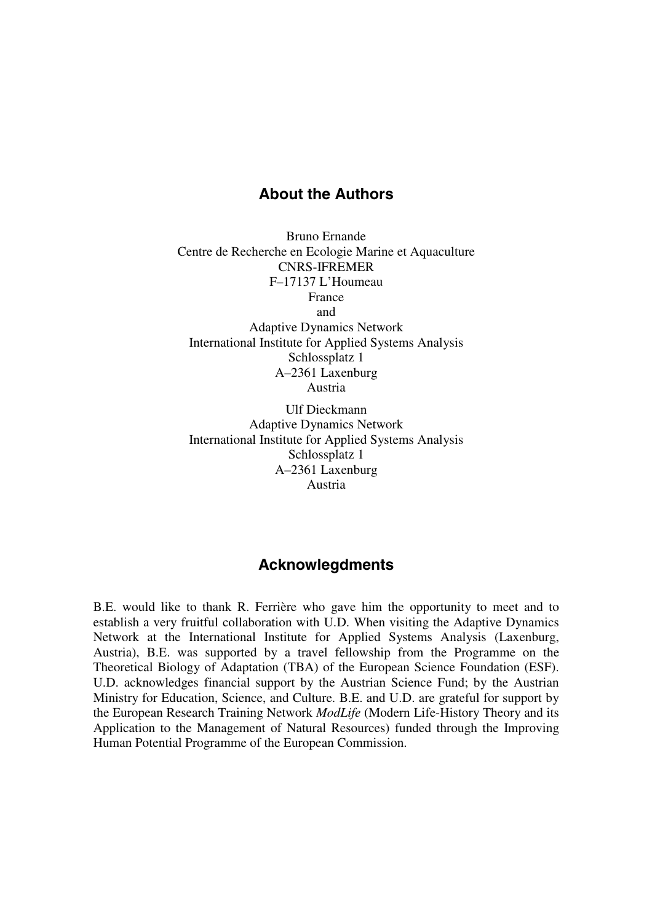## **About the Authors**

Bruno Ernande Centre de Recherche en Ecologie Marine et Aquaculture CNRS-IFREMER F–17137 L'Houmeau France and Adaptive Dynamics Network International Institute for Applied Systems Analysis Schlossplatz 1 A–2361 Laxenburg Austria

Ulf Dieckmann Adaptive Dynamics Network International Institute for Applied Systems Analysis Schlossplatz 1 A–2361 Laxenburg Austria

## **Acknowlegdments**

B.E. would like to thank R. Ferrière who gave him the opportunity to meet and to establish a very fruitful collaboration with U.D. When visiting the Adaptive Dynamics Network at the International Institute for Applied Systems Analysis (Laxenburg, Austria), B.E. was supported by a travel fellowship from the Programme on the Theoretical Biology of Adaptation (TBA) of the European Science Foundation (ESF). U.D. acknowledges financial support by the Austrian Science Fund; by the Austrian Ministry for Education, Science, and Culture. B.E. and U.D. are grateful for support by the European Research Training Network *ModLife* (Modern Life-History Theory and its Application to the Management of Natural Resources) funded through the Improving Human Potential Programme of the European Commission.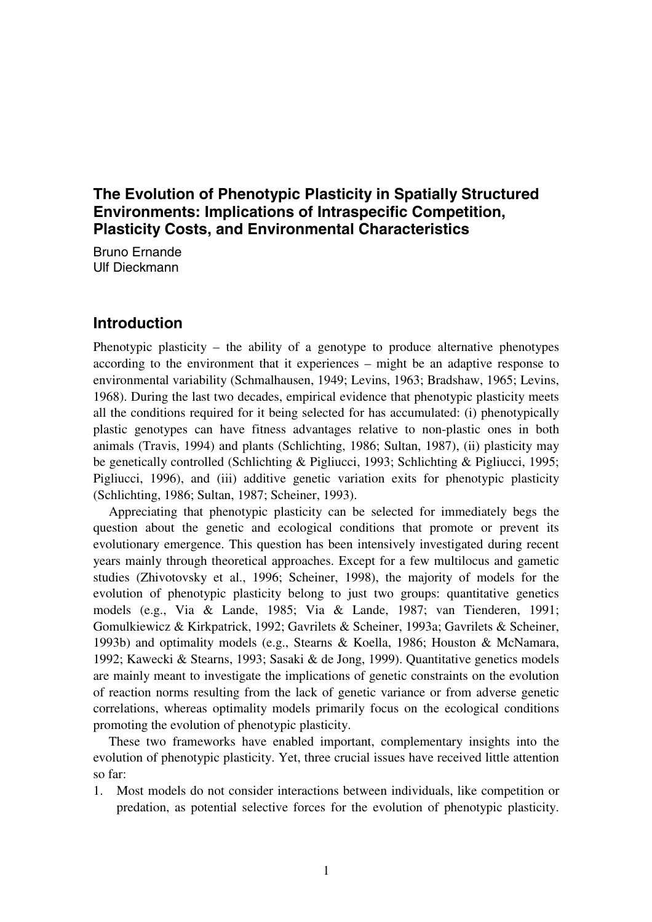## **The Evolution of Phenotypic Plasticity in Spatially Structured Environments: Implications of Intraspecific Competition, Plasticity Costs, and Environmental Characteristics**

Bruno Ernande Ulf Dieckmann

## **Introduction**

Phenotypic plasticity – the ability of a genotype to produce alternative phenotypes according to the environment that it experiences – might be an adaptive response to environmental variability (Schmalhausen, 1949; Levins, 1963; Bradshaw, 1965; Levins, 1968). During the last two decades, empirical evidence that phenotypic plasticity meets all the conditions required for it being selected for has accumulated: (i) phenotypically plastic genotypes can have fitness advantages relative to non-plastic ones in both animals (Travis, 1994) and plants (Schlichting, 1986; Sultan, 1987), (ii) plasticity may be genetically controlled (Schlichting & Pigliucci, 1993; Schlichting & Pigliucci, 1995; Pigliucci, 1996), and (iii) additive genetic variation exits for phenotypic plasticity (Schlichting, 1986; Sultan, 1987; Scheiner, 1993).

Appreciating that phenotypic plasticity can be selected for immediately begs the question about the genetic and ecological conditions that promote or prevent its evolutionary emergence. This question has been intensively investigated during recent years mainly through theoretical approaches. Except for a few multilocus and gametic studies (Zhivotovsky et al., 1996; Scheiner, 1998), the majority of models for the evolution of phenotypic plasticity belong to just two groups: quantitative genetics models (e.g., Via & Lande, 1985; Via & Lande, 1987; van Tienderen, 1991; Gomulkiewicz & Kirkpatrick, 1992; Gavrilets & Scheiner, 1993a; Gavrilets & Scheiner, 1993b) and optimality models (e.g., Stearns & Koella, 1986; Houston & McNamara, 1992; Kawecki & Stearns, 1993; Sasaki & de Jong, 1999). Quantitative genetics models are mainly meant to investigate the implications of genetic constraints on the evolution of reaction norms resulting from the lack of genetic variance or from adverse genetic correlations, whereas optimality models primarily focus on the ecological conditions promoting the evolution of phenotypic plasticity.

These two frameworks have enabled important, complementary insights into the evolution of phenotypic plasticity. Yet, three crucial issues have received little attention so far:

1. Most models do not consider interactions between individuals, like competition or predation, as potential selective forces for the evolution of phenotypic plasticity.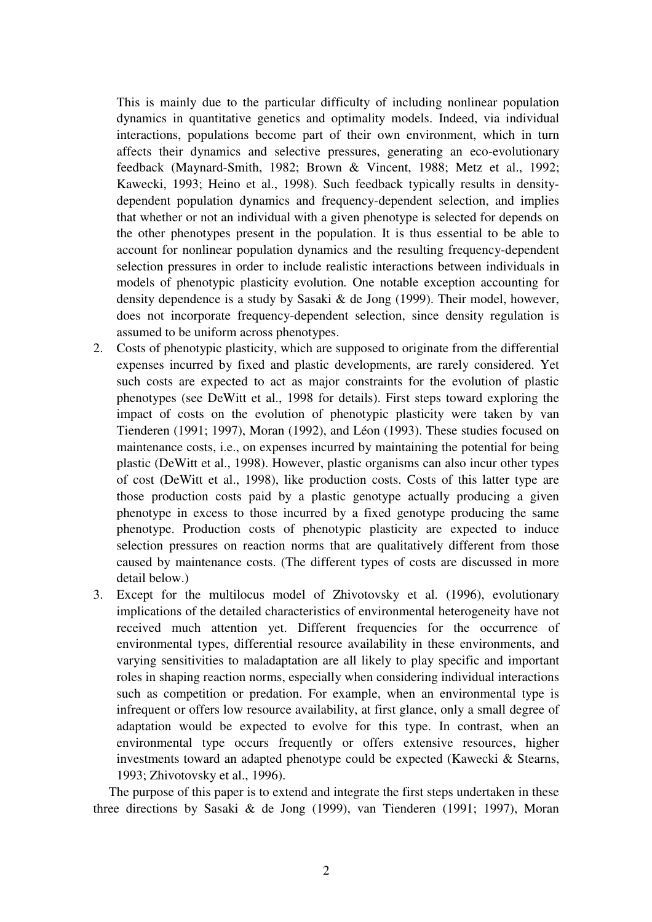This is mainly due to the particular difficulty of including nonlinear population dynamics in quantitative genetics and optimality models. Indeed, via individual interactions, populations become part of their own environment, which in turn affects their dynamics and selective pressures, generating an eco-evolutionary feedback (Maynard-Smith, 1982; Brown & Vincent, 1988; Metz et al., 1992; Kawecki, 1993; Heino et al., 1998). Such feedback typically results in densitydependent population dynamics and frequency-dependent selection, and implies that whether or not an individual with a given phenotype is selected for depends on the other phenotypes present in the population. It is thus essential to be able to account for nonlinear population dynamics and the resulting frequency-dependent selection pressures in order to include realistic interactions between individuals in models of phenotypic plasticity evolution*.* One notable exception accounting for density dependence is a study by Sasaki & de Jong (1999). Their model, however, does not incorporate frequency-dependent selection, since density regulation is assumed to be uniform across phenotypes.

- 2. Costs of phenotypic plasticity, which are supposed to originate from the differential expenses incurred by fixed and plastic developments, are rarely considered. Yet such costs are expected to act as major constraints for the evolution of plastic phenotypes (see DeWitt et al., 1998 for details). First steps toward exploring the impact of costs on the evolution of phenotypic plasticity were taken by van Tienderen (1991; 1997), Moran (1992), and Léon (1993). These studies focused on maintenance costs, i.e., on expenses incurred by maintaining the potential for being plastic (DeWitt et al., 1998). However, plastic organisms can also incur other types of cost (DeWitt et al., 1998), like production costs. Costs of this latter type are those production costs paid by a plastic genotype actually producing a given phenotype in excess to those incurred by a fixed genotype producing the same phenotype. Production costs of phenotypic plasticity are expected to induce selection pressures on reaction norms that are qualitatively different from those caused by maintenance costs. (The different types of costs are discussed in more detail below.)
- 3. Except for the multilocus model of Zhivotovsky et al. (1996), evolutionary implications of the detailed characteristics of environmental heterogeneity have not received much attention yet. Different frequencies for the occurrence of environmental types, differential resource availability in these environments, and varying sensitivities to maladaptation are all likely to play specific and important roles in shaping reaction norms, especially when considering individual interactions such as competition or predation. For example, when an environmental type is infrequent or offers low resource availability, at first glance, only a small degree of adaptation would be expected to evolve for this type. In contrast, when an environmental type occurs frequently or offers extensive resources, higher investments toward an adapted phenotype could be expected (Kawecki & Stearns, 1993; Zhivotovsky et al., 1996).

The purpose of this paper is to extend and integrate the first steps undertaken in these three directions by Sasaki & de Jong (1999), van Tienderen (1991; 1997), Moran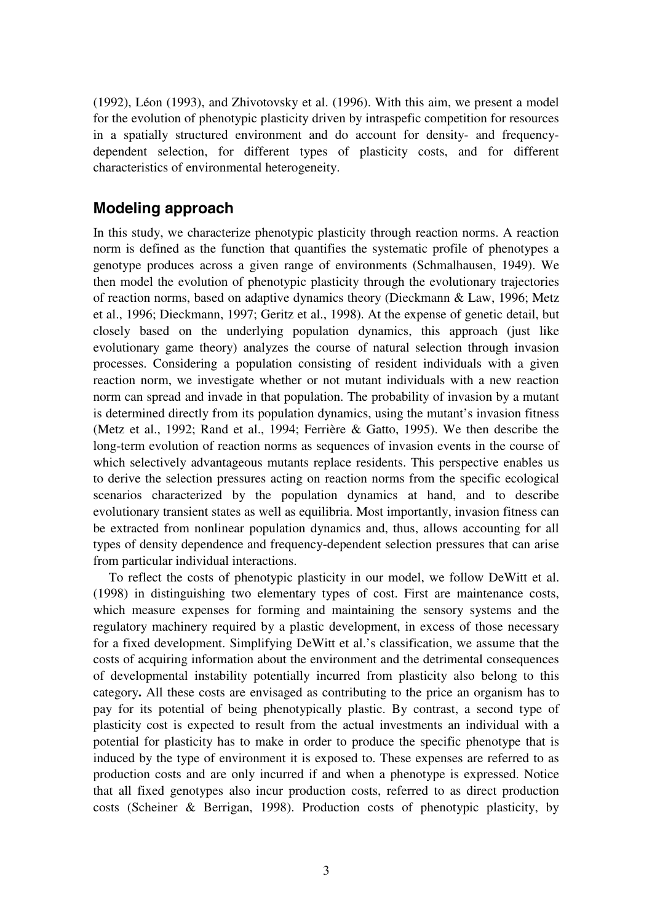(1992), Léon (1993), and Zhivotovsky et al. (1996). With this aim, we present a model for the evolution of phenotypic plasticity driven by intraspefic competition for resources in a spatially structured environment and do account for density- and frequencydependent selection, for different types of plasticity costs, and for different characteristics of environmental heterogeneity.

## **Modeling approach**

In this study, we characterize phenotypic plasticity through reaction norms. A reaction norm is defined as the function that quantifies the systematic profile of phenotypes a genotype produces across a given range of environments (Schmalhausen, 1949). We then model the evolution of phenotypic plasticity through the evolutionary trajectories of reaction norms, based on adaptive dynamics theory (Dieckmann & Law, 1996; Metz et al., 1996; Dieckmann, 1997; Geritz et al., 1998). At the expense of genetic detail, but closely based on the underlying population dynamics, this approach (just like evolutionary game theory) analyzes the course of natural selection through invasion processes. Considering a population consisting of resident individuals with a given reaction norm, we investigate whether or not mutant individuals with a new reaction norm can spread and invade in that population. The probability of invasion by a mutant is determined directly from its population dynamics, using the mutant's invasion fitness (Metz et al., 1992; Rand et al., 1994; Ferrière & Gatto, 1995). We then describe the long-term evolution of reaction norms as sequences of invasion events in the course of which selectively advantageous mutants replace residents. This perspective enables us to derive the selection pressures acting on reaction norms from the specific ecological scenarios characterized by the population dynamics at hand, and to describe evolutionary transient states as well as equilibria. Most importantly, invasion fitness can be extracted from nonlinear population dynamics and, thus, allows accounting for all types of density dependence and frequency-dependent selection pressures that can arise from particular individual interactions.

To reflect the costs of phenotypic plasticity in our model, we follow DeWitt et al. (1998) in distinguishing two elementary types of cost. First are maintenance costs, which measure expenses for forming and maintaining the sensory systems and the regulatory machinery required by a plastic development, in excess of those necessary for a fixed development. Simplifying DeWitt et al.'s classification, we assume that the costs of acquiring information about the environment and the detrimental consequences of developmental instability potentially incurred from plasticity also belong to this category**.** All these costs are envisaged as contributing to the price an organism has to pay for its potential of being phenotypically plastic. By contrast, a second type of plasticity cost is expected to result from the actual investments an individual with a potential for plasticity has to make in order to produce the specific phenotype that is induced by the type of environment it is exposed to. These expenses are referred to as production costs and are only incurred if and when a phenotype is expressed. Notice that all fixed genotypes also incur production costs, referred to as direct production costs (Scheiner & Berrigan, 1998). Production costs of phenotypic plasticity, by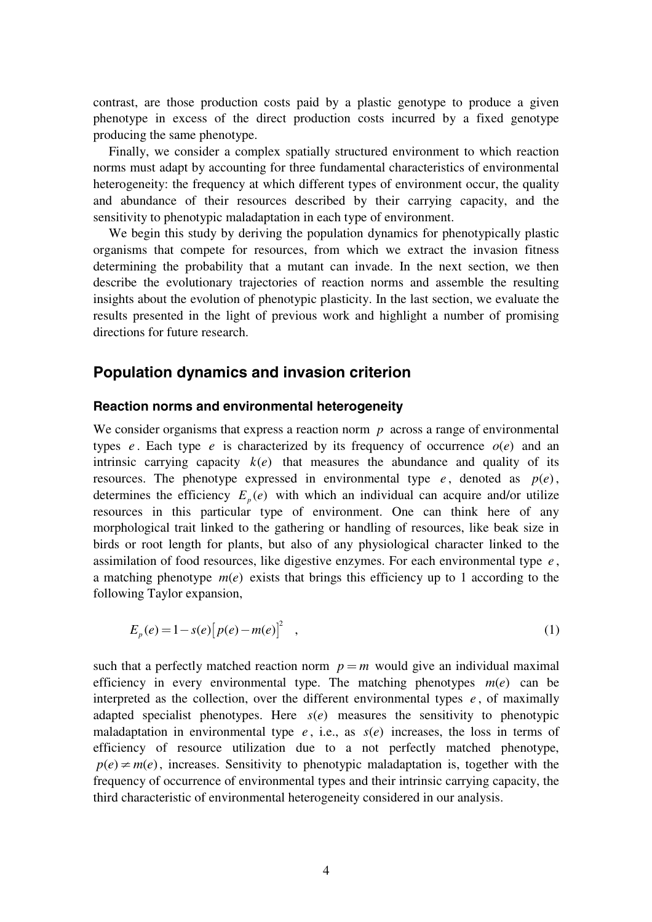contrast, are those production costs paid by a plastic genotype to produce a given phenotype in excess of the direct production costs incurred by a fixed genotype producing the same phenotype.

Finally, we consider a complex spatially structured environment to which reaction norms must adapt by accounting for three fundamental characteristics of environmental heterogeneity: the frequency at which different types of environment occur, the quality and abundance of their resources described by their carrying capacity, and the sensitivity to phenotypic maladaptation in each type of environment.

We begin this study by deriving the population dynamics for phenotypically plastic organisms that compete for resources, from which we extract the invasion fitness determining the probability that a mutant can invade. In the next section, we then describe the evolutionary trajectories of reaction norms and assemble the resulting insights about the evolution of phenotypic plasticity. In the last section, we evaluate the results presented in the light of previous work and highlight a number of promising directions for future research.

## **Population dynamics and invasion criterion**

#### **Reaction norms and environmental heterogeneity**

We consider organisms that express a reaction norm *p* across a range of environmental types *e*. Each type *e* is characterized by its frequency of occurrence  $o(e)$  and an intrinsic carrying capacity  $k(e)$  that measures the abundance and quality of its resources. The phenotype expressed in environmental type  $e$ , denoted as  $p(e)$ , determines the efficiency  $E_p(e)$  with which an individual can acquire and/or utilize resources in this particular type of environment. One can think here of any morphological trait linked to the gathering or handling of resources, like beak size in birds or root length for plants, but also of any physiological character linked to the assimilation of food resources, like digestive enzymes. For each environmental type *e* , a matching phenotype  $m(e)$  exists that brings this efficiency up to 1 according to the following Taylor expansion,

$$
E_p(e) = 1 - s(e) [p(e) - m(e)]^2 \quad , \tag{1}
$$

such that a perfectly matched reaction norm  $p = m$  would give an individual maximal efficiency in every environmental type. The matching phenotypes  $m(e)$  can be interpreted as the collection, over the different environmental types  $e$ , of maximally adapted specialist phenotypes. Here  $s(e)$  measures the sensitivity to phenotypic maladaptation in environmental type  $e$ , i.e., as  $s(e)$  increases, the loss in terms of efficiency of resource utilization due to a not perfectly matched phenotype,  $p(e) \neq m(e)$ , increases. Sensitivity to phenotypic maladaptation is, together with the frequency of occurrence of environmental types and their intrinsic carrying capacity, the third characteristic of environmental heterogeneity considered in our analysis.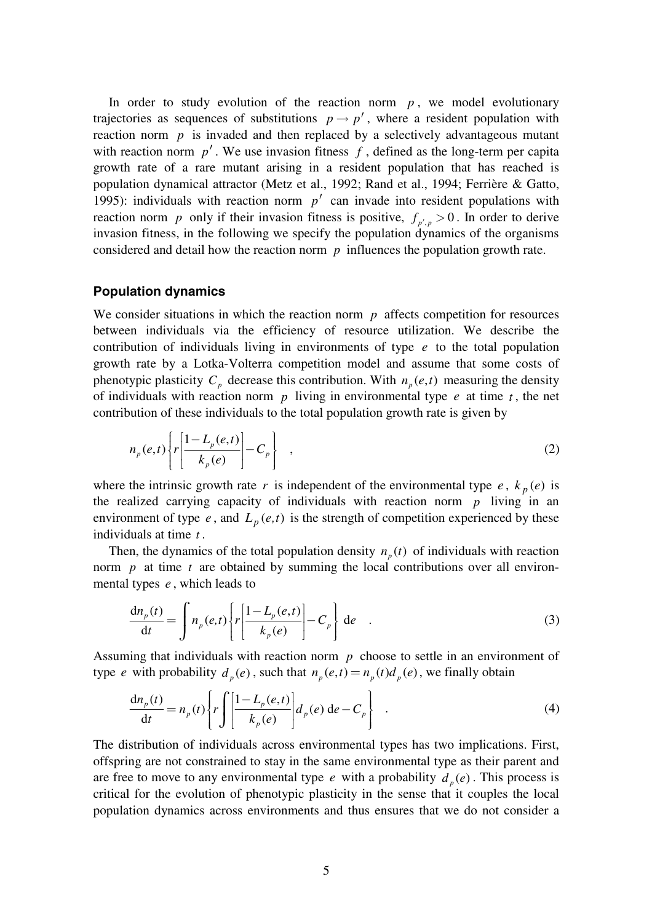In order to study evolution of the reaction norm  $p$ , we model evolutionary trajectories as sequences of substitutions  $p \rightarrow p'$ , where a resident population with reaction norm  $p$  is invaded and then replaced by a selectively advantageous mutant with reaction norm  $p'$ . We use invasion fitness  $f$ , defined as the long-term per capita growth rate of a rare mutant arising in a resident population that has reached is population dynamical attractor (Metz et al., 1992; Rand et al., 1994; Ferrière & Gatto, 1995): individuals with reaction norm  $p'$  can invade into resident populations with reaction norm *p* only if their invasion fitness is positive,  $f_{p',p} > 0$ . In order to derive invasion fitness, in the following we specify the population dynamics of the organisms considered and detail how the reaction norm *p* influences the population growth rate.

#### **Population dynamics**

We consider situations in which the reaction norm  $p$  affects competition for resources between individuals via the efficiency of resource utilization. We describe the contribution of individuals living in environments of type *e* to the total population growth rate by a Lotka-Volterra competition model and assume that some costs of phenotypic plasticity  $C_p$  decrease this contribution. With  $n_p(e,t)$  measuring the density of individuals with reaction norm *p* living in environmental type *e* at time *t* , the net contribution of these individuals to the total population growth rate is given by

$$
n_p(e,t)\left\{r\left[\frac{1-L_p(e,t)}{k_p(e)}\right]-C_p\right\}\quad,\tag{2}
$$

where the intrinsic growth rate *r* is independent of the environmental type *e*,  $k_p(e)$  is the realized carrying capacity of individuals with reaction norm *p* living in an environment of type  $e$ , and  $L_p(e,t)$  is the strength of competition experienced by these individuals at time *t* .

Then, the dynamics of the total population density  $n_n(t)$  of individuals with reaction norm *p* at time *t* are obtained by summing the local contributions over all environmental types *e* , which leads to

$$
\frac{dn_p(t)}{dt} = \int n_p(e,t) \left\{ r \left[ \frac{1 - L_p(e,t)}{k_p(e)} \right] - C_p \right\} de \quad . \tag{3}
$$

Assuming that individuals with reaction norm *p* choose to settle in an environment of type *e* with probability  $d_p(e)$ , such that  $n_p(e,t) = n_p(t) d_p(e)$ , we finally obtain

$$
\frac{dn_p(t)}{dt} = n_p(t) \left\{ r \int \left[ \frac{1 - L_p(e, t)}{k_p(e)} \right] d_p(e) de - C_p \right\} \quad . \tag{4}
$$

The distribution of individuals across environmental types has two implications. First, offspring are not constrained to stay in the same environmental type as their parent and are free to move to any environmental type *e* with a probability  $d_n(e)$ . This process is critical for the evolution of phenotypic plasticity in the sense that it couples the local population dynamics across environments and thus ensures that we do not consider a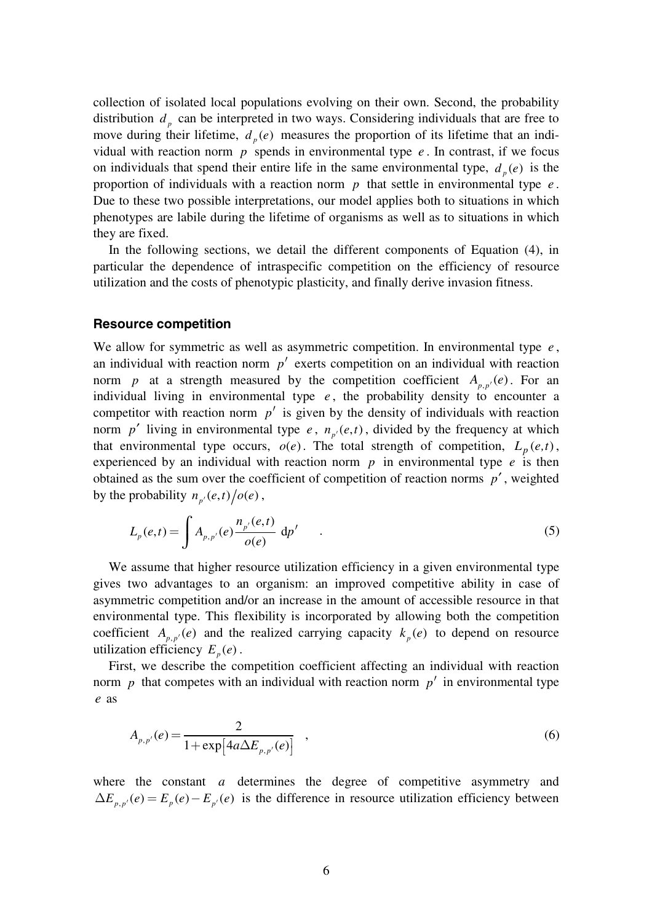collection of isolated local populations evolving on their own. Second, the probability distribution  $d<sub>p</sub>$  can be interpreted in two ways. Considering individuals that are free to move during their lifetime,  $d_p(e)$  measures the proportion of its lifetime that an individual with reaction norm  $p$  spends in environmental type  $e$ . In contrast, if we focus on individuals that spend their entire life in the same environmental type,  $d_p(e)$  is the proportion of individuals with a reaction norm *p* that settle in environmental type *e* . Due to these two possible interpretations, our model applies both to situations in which phenotypes are labile during the lifetime of organisms as well as to situations in which they are fixed.

In the following sections, we detail the different components of Equation (4), in particular the dependence of intraspecific competition on the efficiency of resource utilization and the costs of phenotypic plasticity, and finally derive invasion fitness.

#### **Resource competition**

We allow for symmetric as well as asymmetric competition. In environmental type *e* , an individual with reaction norm  $p'$  exerts competition on an individual with reaction norm *p* at a strength measured by the competition coefficient  $A_{p,p'}(e)$ . For an individual living in environmental type  $e$ , the probability density to encounter a competitor with reaction norm  $p'$  is given by the density of individuals with reaction norm *p'* living in environmental type *e*,  $n_{p'}(e,t)$ , divided by the frequency at which that environmental type occurs,  $o(e)$ . The total strength of competition,  $L_p(e,t)$ , experienced by an individual with reaction norm *p* in environmental type *e* is then obtained as the sum over the coefficient of competition of reaction norms *p*′ , weighted by the probability  $n_{p'}(e,t) / o(e)$ ,

$$
L_p(e,t) = \int A_{p,p'}(e) \frac{n_{p'}(e,t)}{o(e)} \, dp' \quad . \tag{5}
$$

We assume that higher resource utilization efficiency in a given environmental type gives two advantages to an organism: an improved competitive ability in case of asymmetric competition and/or an increase in the amount of accessible resource in that environmental type. This flexibility is incorporated by allowing both the competition coefficient  $A_{p,p'}(e)$  and the realized carrying capacity  $k_p(e)$  to depend on resource utilization efficiency  $E_p(e)$ .

First, we describe the competition coefficient affecting an individual with reaction norm  $p$  that competes with an individual with reaction norm  $p'$  in environmental type *e* as

$$
A_{p,p'}(e) = \frac{2}{1 + \exp[4a\Delta E_{p,p'}(e)]} \quad , \tag{6}
$$

where the constant *a* determines the degree of competitive asymmetry and  $\Delta E_{p,p'}(e) = E_p(e) - E_{p'}(e)$  is the difference in resource utilization efficiency between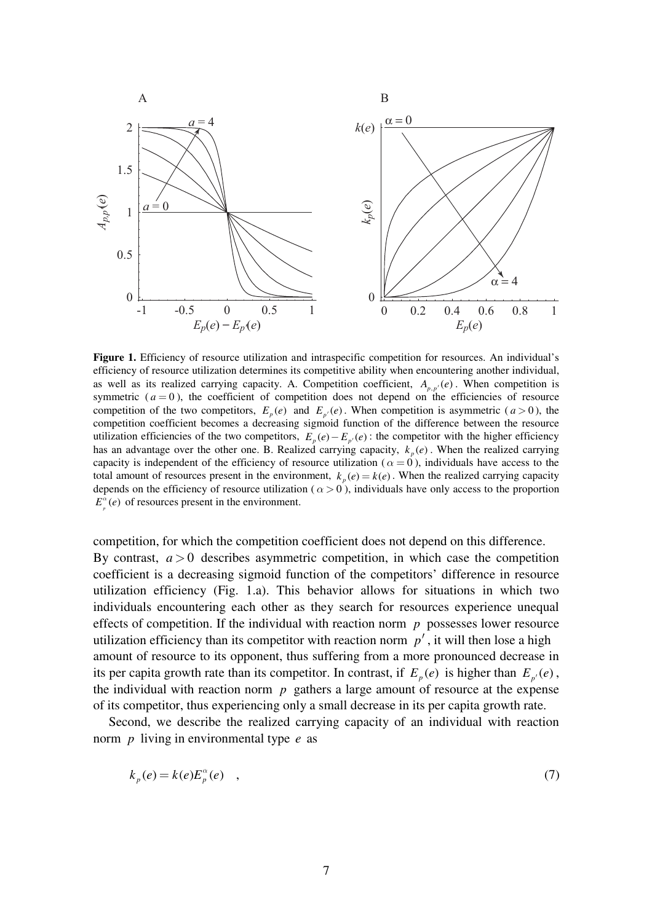

**Figure 1.** Efficiency of resource utilization and intraspecific competition for resources. An individual's efficiency of resource utilization determines its competitive ability when encountering another individual, as well as its realized carrying capacity. A. Competition coefficient,  $A_{p,p'}(e)$ . When competition is symmetric  $(a = 0)$ , the coefficient of competition does not depend on the efficiencies of resource competition of the two competitors,  $E_p(e)$  and  $E_{p'}(e)$ . When competition is asymmetric ( $a > 0$ ), the competition coefficient becomes a decreasing sigmoid function of the difference between the resource utilization efficiencies of the two competitors,  $E_p(e) - E_{p'}(e)$ : the competitor with the higher efficiency has an advantage over the other one. B. Realized carrying capacity,  $k_n(e)$ . When the realized carrying capacity is independent of the efficiency of resource utilization ( $\alpha = 0$ ), individuals have access to the total amount of resources present in the environment,  $k_n(e) = k(e)$ . When the realized carrying capacity depends on the efficiency of resource utilization ( $\alpha > 0$ ), individuals have only access to the proportion  $E^{\alpha}(e)$  of resources present in the environment.

competition, for which the competition coefficient does not depend on this difference. By contrast,  $a > 0$  describes asymmetric competition, in which case the competition coefficient is a decreasing sigmoid function of the competitors' difference in resource utilization efficiency (Fig. 1.a). This behavior allows for situations in which two individuals encountering each other as they search for resources experience unequal effects of competition. If the individual with reaction norm  $p$  possesses lower resource utilization efficiency than its competitor with reaction norm  $p'$ , it will then lose a high amount of resource to its opponent, thus suffering from a more pronounced decrease in its per capita growth rate than its competitor. In contrast, if  $E_p(e)$  is higher than  $E_p(e)$ , the individual with reaction norm  $p$  gathers a large amount of resource at the expense of its competitor, thus experiencing only a small decrease in its per capita growth rate.

Second, we describe the realized carrying capacity of an individual with reaction norm *p* living in environmental type *e* as

$$
k_p(e) = k(e)E_p^{\alpha}(e) \quad , \tag{7}
$$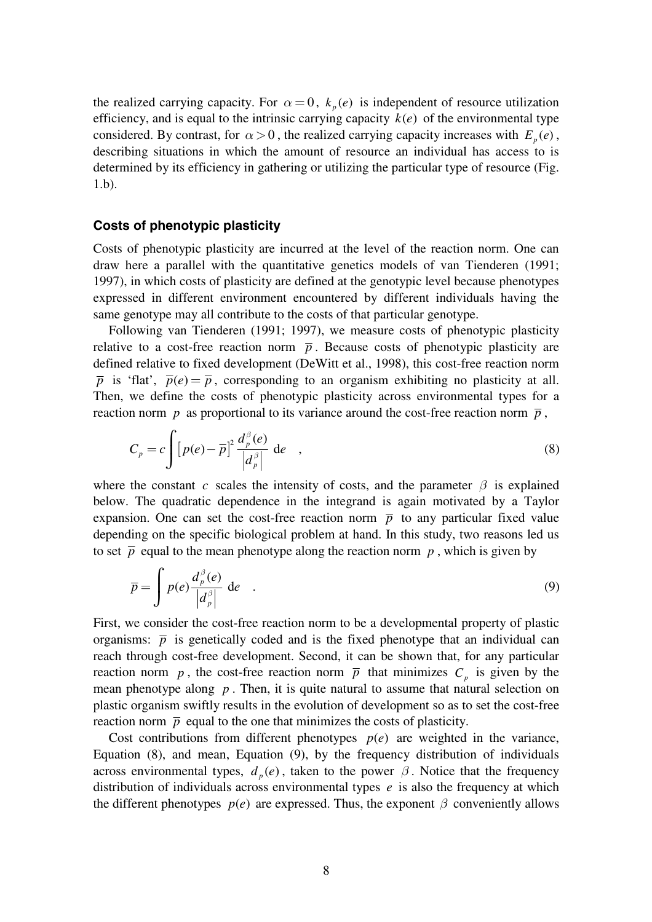the realized carrying capacity. For  $\alpha = 0$ ,  $k_p(e)$  is independent of resource utilization efficiency, and is equal to the intrinsic carrying capacity  $k(e)$  of the environmental type considered. By contrast, for  $\alpha > 0$ , the realized carrying capacity increases with  $E_p(e)$ , describing situations in which the amount of resource an individual has access to is determined by its efficiency in gathering or utilizing the particular type of resource (Fig. 1.b).

#### **Costs of phenotypic plasticity**

Costs of phenotypic plasticity are incurred at the level of the reaction norm. One can draw here a parallel with the quantitative genetics models of van Tienderen (1991; 1997), in which costs of plasticity are defined at the genotypic level because phenotypes expressed in different environment encountered by different individuals having the same genotype may all contribute to the costs of that particular genotype.

Following van Tienderen (1991; 1997), we measure costs of phenotypic plasticity relative to a cost-free reaction norm  $\bar{p}$ . Because costs of phenotypic plasticity are defined relative to fixed development (DeWitt et al., 1998), this cost-free reaction norm  $\bar{p}$  is 'flat',  $\bar{p}(e) = \bar{p}$ , corresponding to an organism exhibiting no plasticity at all. Then, we define the costs of phenotypic plasticity across environmental types for a reaction norm *p* as proportional to its variance around the cost-free reaction norm  $\bar{p}$ ,

$$
C_p = c \int \left[ p(e) - \overline{p} \right]^2 \frac{d_p^{\beta}(e)}{|d_p^{\beta}|} \, \mathrm{d}e \quad , \tag{8}
$$

where the constant *c* scales the intensity of costs, and the parameter  $\beta$  is explained below. The quadratic dependence in the integrand is again motivated by a Taylor expansion. One can set the cost-free reaction norm  $\bar{p}$  to any particular fixed value depending on the specific biological problem at hand. In this study, two reasons led us to set  $\bar{p}$  equal to the mean phenotype along the reaction norm  $p$ , which is given by

$$
\overline{p} = \int p(e) \frac{d_p^{\beta}(e)}{|d_p^{\beta}|} de . \qquad (9)
$$

First, we consider the cost-free reaction norm to be a developmental property of plastic organisms:  $\bar{p}$  is genetically coded and is the fixed phenotype that an individual can reach through cost-free development. Second, it can be shown that, for any particular reaction norm *p*, the cost-free reaction norm  $\bar{p}$  that minimizes  $C_p$  is given by the mean phenotype along *p* . Then, it is quite natural to assume that natural selection on plastic organism swiftly results in the evolution of development so as to set the cost-free reaction norm  $\bar{p}$  equal to the one that minimizes the costs of plasticity.

Cost contributions from different phenotypes  $p(e)$  are weighted in the variance, Equation (8), and mean, Equation (9), by the frequency distribution of individuals across environmental types,  $d_n(e)$ , taken to the power  $\beta$ . Notice that the frequency distribution of individuals across environmental types *e* is also the frequency at which the different phenotypes  $p(e)$  are expressed. Thus, the exponent  $\beta$  conveniently allows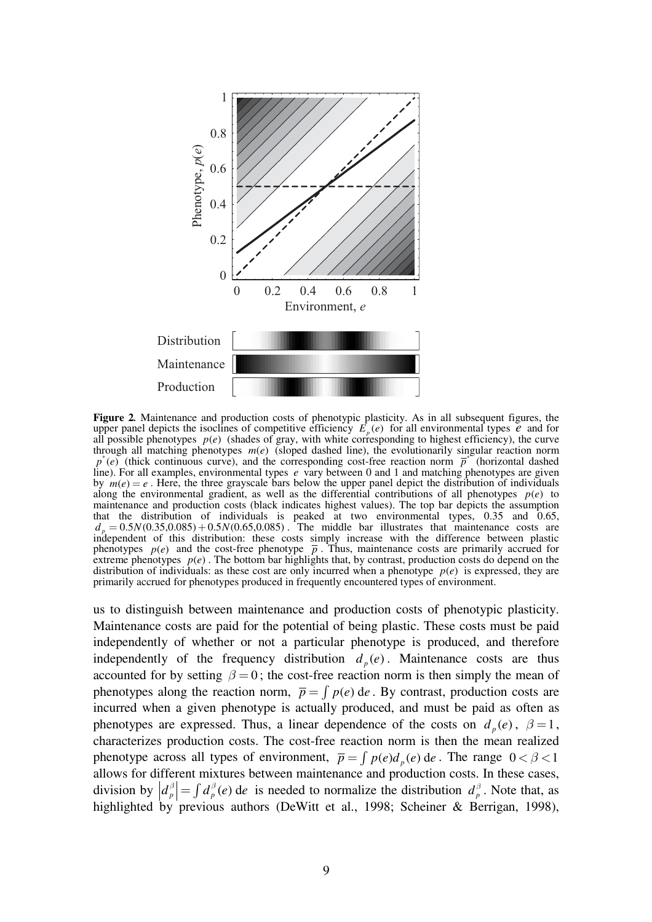

**Figure 2***.* Maintenance and production costs of phenotypic plasticity. As in all subsequent figures, the upper panel depicts the isoclines of competitive efficiency  $E_p(e)$  for all environmental types  $e$  and for all possible phenotypes  $p(e)$  (shades of gray, with white corresponding to highest efficiency), the curve through all matching phenotypes  $m(e)$  (sloped dashed line), the evolutionarily singular reaction norm  $p^*(e)$  (thick continuous curve), and the corresponding cost-free reaction norm  $\overline{p}^*$  (horizontal dashed line). For all examples, environmental types *e* vary between 0 and 1 and matching phenotypes are given by  $m(e) = e$ . Here, the three grayscale bars below the upper panel depict the distribution of individuals along the environmental gradient, as well as the differential contributions of all phenotypes  $p(e)$  to maintenance and production costs (black indicates highest values). The top bar depicts the assumption that the distribution of individuals is peaked at two environmental types, 0.35 and 0.65,  $d_p = 0.5 N(0.35, 0.085) + 0.5 N(0.65, 0.085)$ . The middle bar illustrates that maintenance costs are independent of this distribution: these costs simply increase with the difference between plastic phenotypes  $p(e)$  and the cost-free phenotype  $\bar{p}$ . Thus, maintenance costs are primarily accrued for extreme phenotypes  $p(e)$ . The bottom bar highlights that, by contrast, production costs do depend on the distribution of individuals: as these cost are only incurred when a phenotype  $p(e)$  is expressed, they are primarily accrued for phenotypes produced in frequently encountered types of environment.

us to distinguish between maintenance and production costs of phenotypic plasticity. Maintenance costs are paid for the potential of being plastic. These costs must be paid independently of whether or not a particular phenotype is produced, and therefore independently of the frequency distribution  $d_n(e)$ . Maintenance costs are thus accounted for by setting  $\beta = 0$ ; the cost-free reaction norm is then simply the mean of phenotypes along the reaction norm,  $\bar{p} = \int p(e) de$ . By contrast, production costs are incurred when a given phenotype is actually produced, and must be paid as often as phenotypes are expressed. Thus, a linear dependence of the costs on  $d_n(e)$ ,  $\beta = 1$ , characterizes production costs. The cost-free reaction norm is then the mean realized phenotype across all types of environment,  $\bar{p} = \int p(e) d_{p}(e) de$ . The range  $0 < \beta < 1$ allows for different mixtures between maintenance and production costs. In these cases, division by  $\left| d_p^{\beta} \right| = \int d_p^{\beta} (e)$  de is needed to normalize the distribution  $d_p^{\beta}$ . Note that, as highlighted by previous authors (DeWitt et al., 1998; Scheiner & Berrigan, 1998),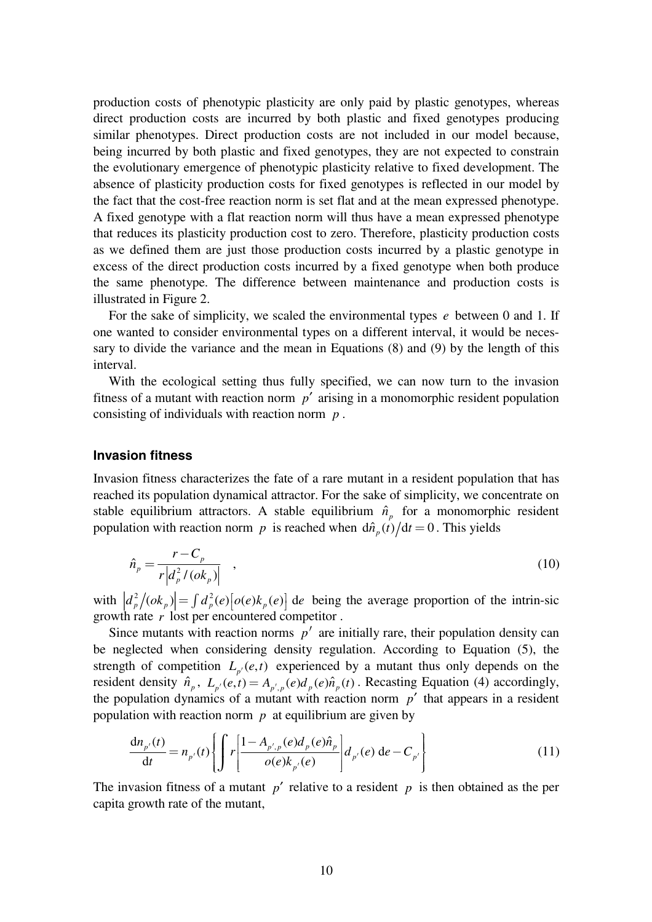production costs of phenotypic plasticity are only paid by plastic genotypes, whereas direct production costs are incurred by both plastic and fixed genotypes producing similar phenotypes. Direct production costs are not included in our model because, being incurred by both plastic and fixed genotypes, they are not expected to constrain the evolutionary emergence of phenotypic plasticity relative to fixed development. The absence of plasticity production costs for fixed genotypes is reflected in our model by the fact that the cost-free reaction norm is set flat and at the mean expressed phenotype. A fixed genotype with a flat reaction norm will thus have a mean expressed phenotype that reduces its plasticity production cost to zero. Therefore, plasticity production costs as we defined them are just those production costs incurred by a plastic genotype in excess of the direct production costs incurred by a fixed genotype when both produce the same phenotype. The difference between maintenance and production costs is illustrated in Figure 2.

For the sake of simplicity, we scaled the environmental types *e* between 0 and 1. If one wanted to consider environmental types on a different interval, it would be necessary to divide the variance and the mean in Equations (8) and (9) by the length of this interval.

With the ecological setting thus fully specified, we can now turn to the invasion fitness of a mutant with reaction norm *p*′ arising in a monomorphic resident population consisting of individuals with reaction norm *p* .

#### **Invasion fitness**

Invasion fitness characterizes the fate of a rare mutant in a resident population that has reached its population dynamical attractor. For the sake of simplicity, we concentrate on stable equilibrium attractors. A stable equilibrium  $\hat{n}_p$  for a monomorphic resident population with reaction norm *p* is reached when  $d\hat{n}_p(t)/dt = 0$ . This yields

$$
\hat{n}_p = \frac{r - C_p}{r \left| d_p^2 / (ok_p) \right|} \quad , \tag{10}
$$

with  $\left| d_p^2 / (ok_p) \right| = \int d_p^2(e) \left| o(e) k_p(e) \right|$  de being the average proportion of the intrin-sic growth rate *r* lost per encountered competitor .

Since mutants with reaction norms  $p'$  are initially rare, their population density can be neglected when considering density regulation. According to Equation (5), the strength of competition  $L_{p'}(e,t)$  experienced by a mutant thus only depends on the resident density  $\hat{n}_p$ ,  $L_{p'}(e,t) = A_{p',p}(e)d_p(e)\hat{n}_p(t)$ . Recasting Equation (4) accordingly, the population dynamics of a mutant with reaction norm  $p'$  that appears in a resident population with reaction norm *p* at equilibrium are given by

$$
\frac{dn_{p'}(t)}{dt} = n_{p'}(t) \left\{ \int r \left[ \frac{1 - A_{p',p}(e)d_p(e)\hat{n}_p}{o(e)k_{p'}(e)} \right] d_{p'}(e) \, de - C_{p'} \right\} \tag{11}
$$

The invasion fitness of a mutant  $p'$  relative to a resident  $p$  is then obtained as the per capita growth rate of the mutant,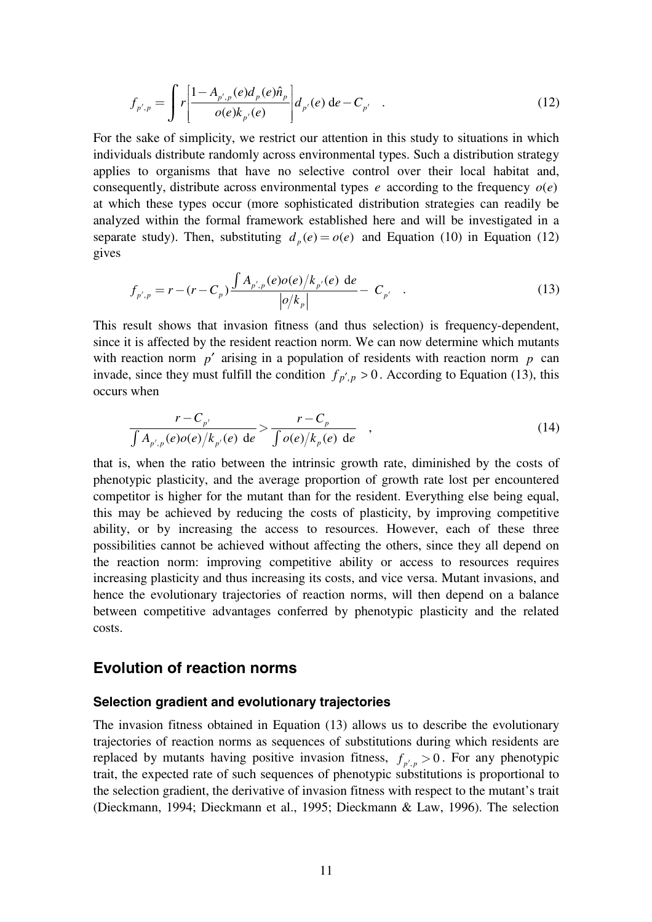$$
f_{p',p} = \int r \left[ \frac{1 - A_{p',p}(e) d_p(e) \hat{n}_p}{o(e) k_{p'}(e)} \right] d_{p'}(e) de - C_{p'} \quad . \tag{12}
$$

For the sake of simplicity, we restrict our attention in this study to situations in which individuals distribute randomly across environmental types. Such a distribution strategy applies to organisms that have no selective control over their local habitat and, consequently, distribute across environmental types  $e$  according to the frequency  $o(e)$ at which these types occur (more sophisticated distribution strategies can readily be analyzed within the formal framework established here and will be investigated in a separate study). Then, substituting  $d_p(e) = o(e)$  and Equation (10) in Equation (12) gives

$$
f_{p',p} = r - (r - C_p) \frac{\int A_{p',p}(e) o(e) / k_{p'}(e) \, de}{|o/k_p|} - C_{p'} \quad . \tag{13}
$$

This result shows that invasion fitness (and thus selection) is frequency-dependent, since it is affected by the resident reaction norm. We can now determine which mutants with reaction norm  $p'$  arising in a population of residents with reaction norm  $p$  can invade, since they must fulfill the condition  $f_{p',p} > 0$ . According to Equation (13), this occurs when

$$
\frac{r - C_{p'}}{\int A_{p',p}(e)o(e)/k_{p'}(e) de} > \frac{r - C_p}{\int o(e)/k_p(e) de} ,
$$
\n(14)

that is, when the ratio between the intrinsic growth rate, diminished by the costs of phenotypic plasticity, and the average proportion of growth rate lost per encountered competitor is higher for the mutant than for the resident. Everything else being equal, this may be achieved by reducing the costs of plasticity, by improving competitive ability, or by increasing the access to resources. However, each of these three possibilities cannot be achieved without affecting the others, since they all depend on the reaction norm: improving competitive ability or access to resources requires increasing plasticity and thus increasing its costs, and vice versa. Mutant invasions, and hence the evolutionary trajectories of reaction norms, will then depend on a balance between competitive advantages conferred by phenotypic plasticity and the related costs.

## **Evolution of reaction norms**

#### **Selection gradient and evolutionary trajectories**

The invasion fitness obtained in Equation (13) allows us to describe the evolutionary trajectories of reaction norms as sequences of substitutions during which residents are replaced by mutants having positive invasion fitness,  $f_{p',p} > 0$ . For any phenotypic trait, the expected rate of such sequences of phenotypic substitutions is proportional to the selection gradient, the derivative of invasion fitness with respect to the mutant's trait (Dieckmann, 1994; Dieckmann et al., 1995; Dieckmann & Law, 1996). The selection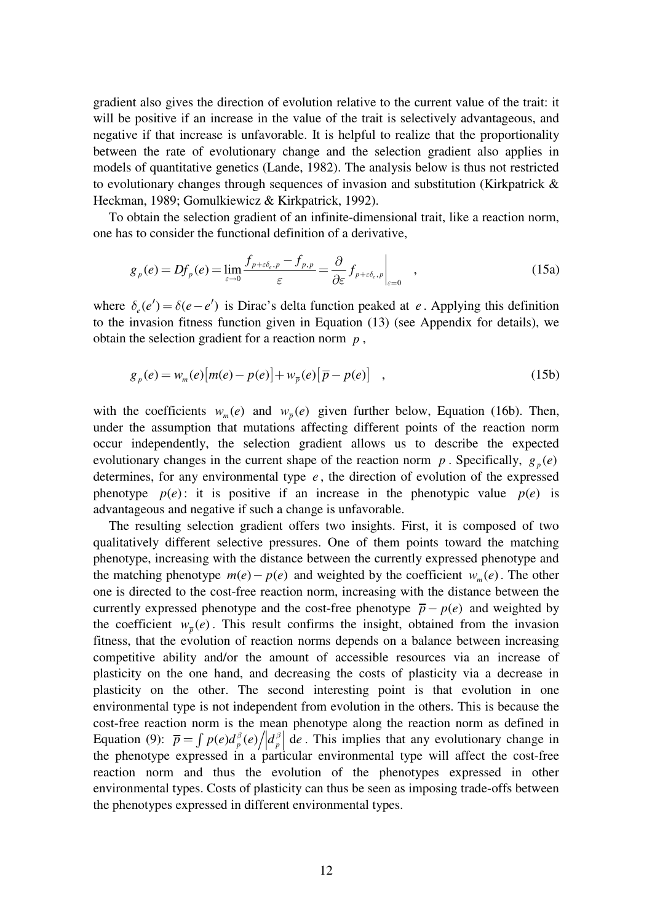gradient also gives the direction of evolution relative to the current value of the trait: it will be positive if an increase in the value of the trait is selectively advantageous, and negative if that increase is unfavorable. It is helpful to realize that the proportionality between the rate of evolutionary change and the selection gradient also applies in models of quantitative genetics (Lande, 1982). The analysis below is thus not restricted to evolutionary changes through sequences of invasion and substitution (Kirkpatrick & Heckman, 1989; Gomulkiewicz & Kirkpatrick, 1992).

To obtain the selection gradient of an infinite-dimensional trait, like a reaction norm, one has to consider the functional definition of a derivative,

$$
g_p(e) = Df_p(e) = \lim_{\varepsilon \to 0} \frac{f_{p+\varepsilon \delta_e, p} - f_{p,p}}{\varepsilon} = \frac{\partial}{\partial \varepsilon} f_{p+\varepsilon \delta_e, p} \Big|_{\varepsilon=0} \quad , \tag{15a}
$$

where  $\delta_e(e') = \delta(e - e')$  is Dirac's delta function peaked at *e*. Applying this definition to the invasion fitness function given in Equation (13) (see Appendix for details), we obtain the selection gradient for a reaction norm *p* ,

$$
g_p(e) = w_m(e)[m(e) - p(e)] + w_{\overline{p}}(e)[\overline{p} - p(e)] \quad , \tag{15b}
$$

with the coefficients  $w_m(e)$  and  $w_{\bar{p}}(e)$  given further below, Equation (16b). Then, under the assumption that mutations affecting different points of the reaction norm occur independently, the selection gradient allows us to describe the expected evolutionary changes in the current shape of the reaction norm  $p$ . Specifically,  $g_p(e)$ determines, for any environmental type *e* , the direction of evolution of the expressed phenotype  $p(e)$ : it is positive if an increase in the phenotypic value  $p(e)$  is advantageous and negative if such a change is unfavorable.

The resulting selection gradient offers two insights. First, it is composed of two qualitatively different selective pressures. One of them points toward the matching phenotype, increasing with the distance between the currently expressed phenotype and the matching phenotype  $m(e) - p(e)$  and weighted by the coefficient  $w_m(e)$ . The other one is directed to the cost-free reaction norm, increasing with the distance between the currently expressed phenotype and the cost-free phenotype  $\bar{p} - p(e)$  and weighted by the coefficient  $w_{\overline{p}}(e)$ . This result confirms the insight, obtained from the invasion fitness, that the evolution of reaction norms depends on a balance between increasing competitive ability and/or the amount of accessible resources via an increase of plasticity on the one hand, and decreasing the costs of plasticity via a decrease in plasticity on the other. The second interesting point is that evolution in one environmental type is not independent from evolution in the others. This is because the cost-free reaction norm is the mean phenotype along the reaction norm as defined in Equation (9):  $\bar{p} = \int p(e)d_p^{\beta}(e) / |d_p^{\beta}|$  de. This implies that any evolutionary change in the phenotype expressed in a particular environmental type will affect the cost-free reaction norm and thus the evolution of the phenotypes expressed in other environmental types. Costs of plasticity can thus be seen as imposing trade-offs between the phenotypes expressed in different environmental types.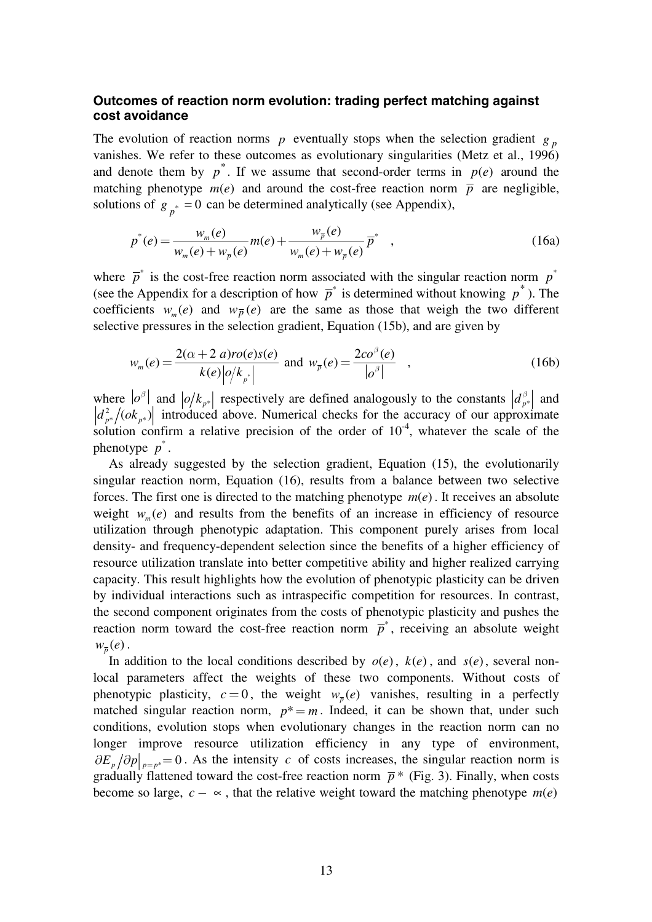### **Outcomes of reaction norm evolution: trading perfect matching against cost avoidance**

The evolution of reaction norms *p* eventually stops when the selection gradient  $g_p$ vanishes. We refer to these outcomes as evolutionary singularities (Metz et al., 1996) and denote them by  $p^*$ . If we assume that second-order terms in  $p(e)$  around the matching phenotype  $m(e)$  and around the cost-free reaction norm  $\bar{p}$  are negligible, solutions of  $g_{p^*} = 0$  can be determined analytically (see Appendix),

$$
p^*(e) = \frac{w_m(e)}{w_m(e) + w_{\overline{p}}(e)} m(e) + \frac{w_{\overline{p}}(e)}{w_m(e) + w_{\overline{p}}(e)} \overline{p}^*,
$$
 (16a)

where  $\overline{p}^*$  is the cost-free reaction norm associated with the singular reaction norm  $p^*$ (see the Appendix for a description of how  $\overline{p}^*$  is determined without knowing  $p^*$ ). The coefficients  $w_n(e)$  and  $w_n(e)$  are the same as those that weigh the two different selective pressures in the selection gradient, Equation (15b), and are given by

$$
w_m(e) = \frac{2(\alpha + 2 \ a)ro(e)s(e)}{k(e)|o/k_{p^*}|} \text{ and } w_{\overline{p}}(e) = \frac{2co^{\beta}(e)}{|o^{\beta}|}, \qquad (16b)
$$

where  $|o^{\beta}|$  and  $|o/k_{p^*}|$  respectively are defined analogously to the constants  $|d_{p^*}^{\beta}|$  and  $|d_{p^*}^{\beta}|/(ok_{p^*})|$  introduced above. Numerical checks for the accuracy of our approximate solution confirm a relative precision of the order of  $10^{-4}$ , whatever the scale of the phenotype  $p^*$ .

As already suggested by the selection gradient, Equation (15), the evolutionarily singular reaction norm, Equation (16), results from a balance between two selective forces. The first one is directed to the matching phenotype  $m(e)$ . It receives an absolute weight  $w_m(e)$  and results from the benefits of an increase in efficiency of resource utilization through phenotypic adaptation. This component purely arises from local density- and frequency-dependent selection since the benefits of a higher efficiency of resource utilization translate into better competitive ability and higher realized carrying capacity. This result highlights how the evolution of phenotypic plasticity can be driven by individual interactions such as intraspecific competition for resources. In contrast, the second component originates from the costs of phenotypic plasticity and pushes the reaction norm toward the cost-free reaction norm  $\bar{p}^*$ , receiving an absolute weight  $w_{\overline{p}}(e)$ .

In addition to the local conditions described by  $o(e)$ ,  $k(e)$ , and  $s(e)$ , several nonlocal parameters affect the weights of these two components. Without costs of phenotypic plasticity,  $c = 0$ , the weight  $w_{\overline{p}}(e)$  vanishes, resulting in a perfectly matched singular reaction norm,  $p^* = m$ . Indeed, it can be shown that, under such conditions, evolution stops when evolutionary changes in the reaction norm can no longer improve resource utilization efficiency in any type of environment,  $\partial E_p / \partial p \big|_{p=p^*}=0$ . As the intensity *c* of costs increases, the singular reaction norm is gradually flattened toward the cost-free reaction norm  $\bar{p}$ <sup>\*</sup> (Fig. 3). Finally, when costs become so large,  $c - \infty$ , that the relative weight toward the matching phenotype  $m(e)$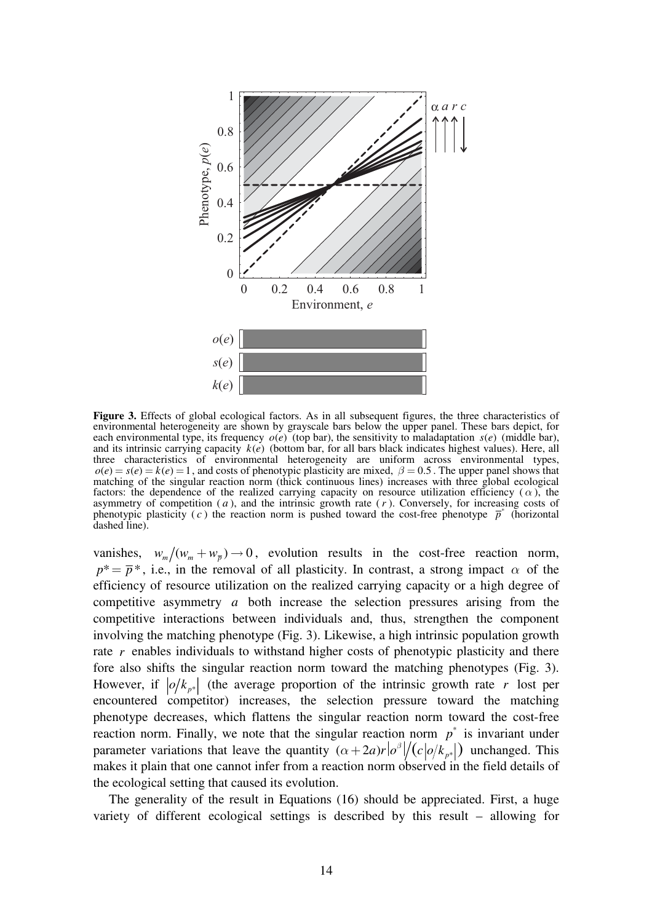

**Figure 3.** Effects of global ecological factors. As in all subsequent figures, the three characteristics of environmental heterogeneity are shown by grayscale bars below the upper panel. These bars depict, for each environmental type, its frequency  $o(e)$  (top bar), the sensitivity to maladaptation  $s(e)$  (middle bar), and its intrinsic carrying capacity  $k(e)$  (bottom bar, for all bars black indicates highest values). Here, all three characteristics of environmental heterogeneity are uniform across environmental types,  $o(e) = s(e) = k(e) = 1$ , and costs of phenotypic plasticity are mixed,  $\beta = 0.5$ . The upper panel shows that matching of the singular reaction norm (thick continuous lines) increases with three global ecological factors: the dependence of the realized carrying capacity on resource utilization efficiency  $(\alpha)$ , the asymmetry of competition ( *a* ), and the intrinsic growth rate (*r* ). Conversely, for increasing costs of phenotypic plasticity (c) the reaction norm is pushed toward the cost-free phenotype  $\overline{p}^*$  (horizontal dashed line).

vanishes,  $w_m / (w_m + w_{\overline{p}}) \rightarrow 0$ , evolution results in the cost-free reaction norm,  $p^* = \overline{p}^*$ , i.e., in the removal of all plasticity. In contrast, a strong impact  $\alpha$  of the efficiency of resource utilization on the realized carrying capacity or a high degree of competitive asymmetry *a* both increase the selection pressures arising from the competitive interactions between individuals and, thus, strengthen the component involving the matching phenotype (Fig. 3). Likewise, a high intrinsic population growth rate *r* enables individuals to withstand higher costs of phenotypic plasticity and there fore also shifts the singular reaction norm toward the matching phenotypes (Fig. 3). However, if  $|o/k_{p*}|$  (the average proportion of the intrinsic growth rate *r* lost per encountered competitor) increases, the selection pressure toward the matching phenotype decreases, which flattens the singular reaction norm toward the cost-free reaction norm. Finally, we note that the singular reaction norm  $p^*$  is invariant under parameter variations that leave the quantity  $(\alpha + 2a)r|\sigma^{\beta}|/(c|\sigma/k_{p^*}|)$  unchanged. This makes it plain that one cannot infer from a reaction norm observed in the field details of the ecological setting that caused its evolution.

The generality of the result in Equations (16) should be appreciated. First, a huge variety of different ecological settings is described by this result – allowing for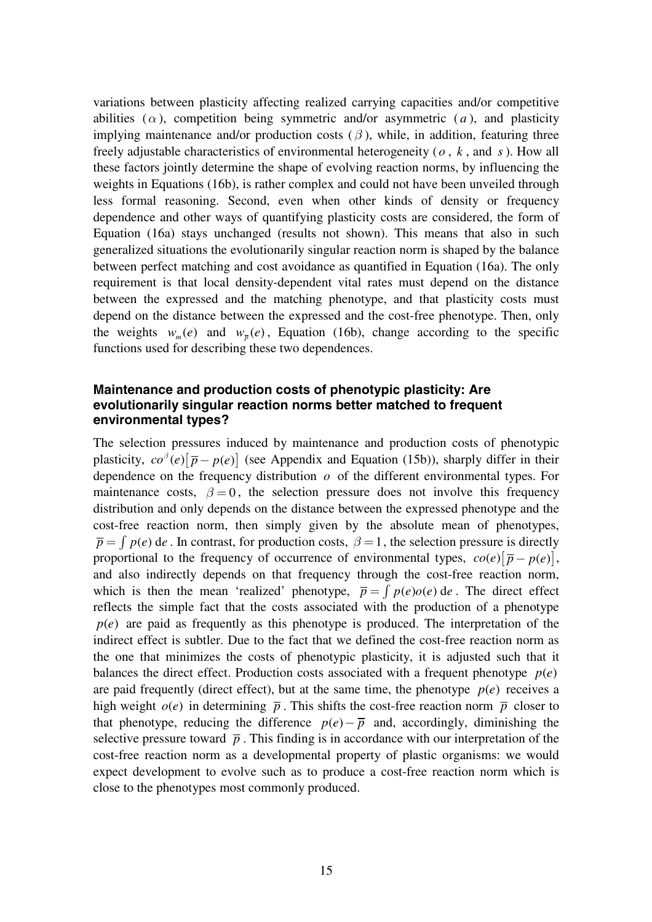variations between plasticity affecting realized carrying capacities and/or competitive abilities  $(\alpha)$ , competition being symmetric and/or asymmetric  $(a)$ , and plasticity implying maintenance and/or production costs  $(\beta)$ , while, in addition, featuring three freely adjustable characteristics of environmental heterogeneity ( *o* , *k* , and *s*). How all these factors jointly determine the shape of evolving reaction norms, by influencing the weights in Equations (16b), is rather complex and could not have been unveiled through less formal reasoning. Second, even when other kinds of density or frequency dependence and other ways of quantifying plasticity costs are considered, the form of Equation (16a) stays unchanged (results not shown). This means that also in such generalized situations the evolutionarily singular reaction norm is shaped by the balance between perfect matching and cost avoidance as quantified in Equation (16a). The only requirement is that local density-dependent vital rates must depend on the distance between the expressed and the matching phenotype, and that plasticity costs must depend on the distance between the expressed and the cost-free phenotype. Then, only the weights  $w_m(e)$  and  $w_{\overline{n}}(e)$ , Equation (16b), change according to the specific functions used for describing these two dependences.

### **Maintenance and production costs of phenotypic plasticity: Are evolutionarily singular reaction norms better matched to frequent environmental types?**

The selection pressures induced by maintenance and production costs of phenotypic plasticity,  $c\sigma^{\beta}(e)[\bar{p}-p(e)]$  (see Appendix and Equation (15b)), sharply differ in their dependence on the frequency distribution *o* of the different environmental types. For maintenance costs,  $\beta = 0$ , the selection pressure does not involve this frequency distribution and only depends on the distance between the expressed phenotype and the cost-free reaction norm, then simply given by the absolute mean of phenotypes,  $\overline{p} = \int p(e) de$ . In contrast, for production costs,  $\beta = 1$ , the selection pressure is directly proportional to the frequency of occurrence of environmental types,  $co(e)[\bar{p} - p(e)],$ and also indirectly depends on that frequency through the cost-free reaction norm, which is then the mean 'realized' phenotype,  $\bar{p} = \int p(e) \rho(e) \, de$ . The direct effect reflects the simple fact that the costs associated with the production of a phenotype  $p(e)$  are paid as frequently as this phenotype is produced. The interpretation of the indirect effect is subtler. Due to the fact that we defined the cost-free reaction norm as the one that minimizes the costs of phenotypic plasticity, it is adjusted such that it balances the direct effect. Production costs associated with a frequent phenotype  $p(e)$ are paid frequently (direct effect), but at the same time, the phenotype  $p(e)$  receives a high weight  $o(e)$  in determining  $\bar{p}$ . This shifts the cost-free reaction norm  $\bar{p}$  closer to that phenotype, reducing the difference  $p(e) - \overline{p}$  and, accordingly, diminishing the selective pressure toward  $\bar{p}$ . This finding is in accordance with our interpretation of the cost-free reaction norm as a developmental property of plastic organisms: we would expect development to evolve such as to produce a cost-free reaction norm which is close to the phenotypes most commonly produced.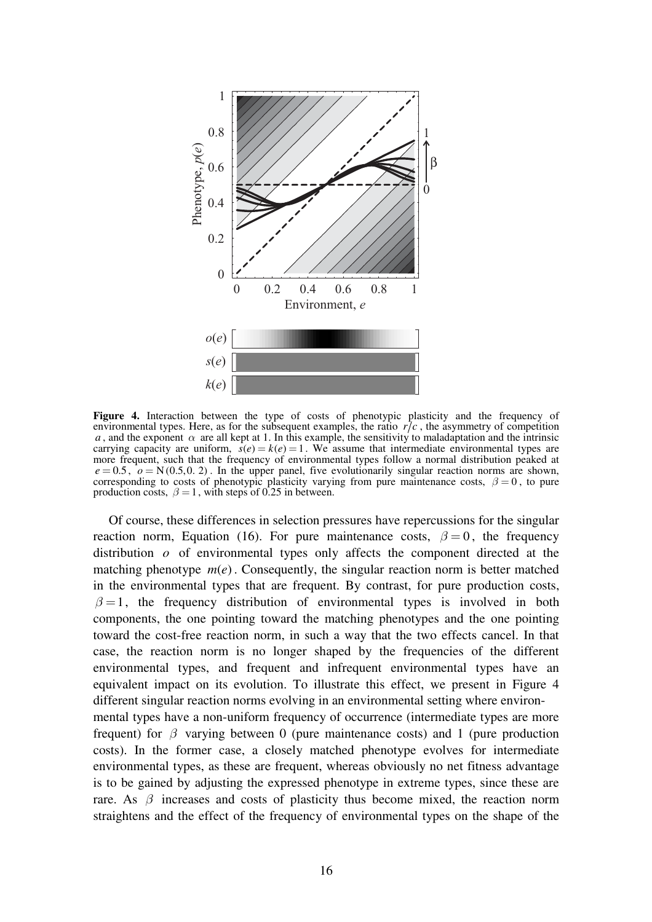

**Figure 4.** Interaction between the type of costs of phenotypic plasticity and the frequency of environmental types. Here, as for the subsequent examples, the ratio  $r/c$ , the asymmetry of competition *a*, and the exponent  $\alpha$  are all kept at 1. In this example, the sensitivity to maladaptation and the intrinsic carrying capacity are uniform,  $\dot{s}(e) = k(e) = 1$ . We assume that intermediate environmental types are more frequent, such that the frequency of environmental types follow a normal distribution peaked at  $e = 0.5$ ,  $o = N(0.5, 0.2)$ . In the upper panel, five evolutionarily singular reaction norms are shown, corresponding to costs of phenotypic plasticity varying from pure maintenance costs,  $\beta = 0$ , to pure production costs,  $\beta = 1$ , with steps of 0.25 in between.

Of course, these differences in selection pressures have repercussions for the singular reaction norm, Equation (16). For pure maintenance costs,  $\beta = 0$ , the frequency distribution *o* of environmental types only affects the component directed at the matching phenotype  $m(e)$ . Consequently, the singular reaction norm is better matched in the environmental types that are frequent. By contrast, for pure production costs,  $\beta = 1$ , the frequency distribution of environmental types is involved in both components, the one pointing toward the matching phenotypes and the one pointing toward the cost-free reaction norm, in such a way that the two effects cancel. In that case, the reaction norm is no longer shaped by the frequencies of the different environmental types, and frequent and infrequent environmental types have an equivalent impact on its evolution. To illustrate this effect, we present in Figure 4 different singular reaction norms evolving in an environmental setting where environmental types have a non-uniform frequency of occurrence (intermediate types are more frequent) for  $\beta$  varying between 0 (pure maintenance costs) and 1 (pure production costs). In the former case, a closely matched phenotype evolves for intermediate environmental types, as these are frequent, whereas obviously no net fitness advantage is to be gained by adjusting the expressed phenotype in extreme types, since these are rare. As  $\beta$  increases and costs of plasticity thus become mixed, the reaction norm straightens and the effect of the frequency of environmental types on the shape of the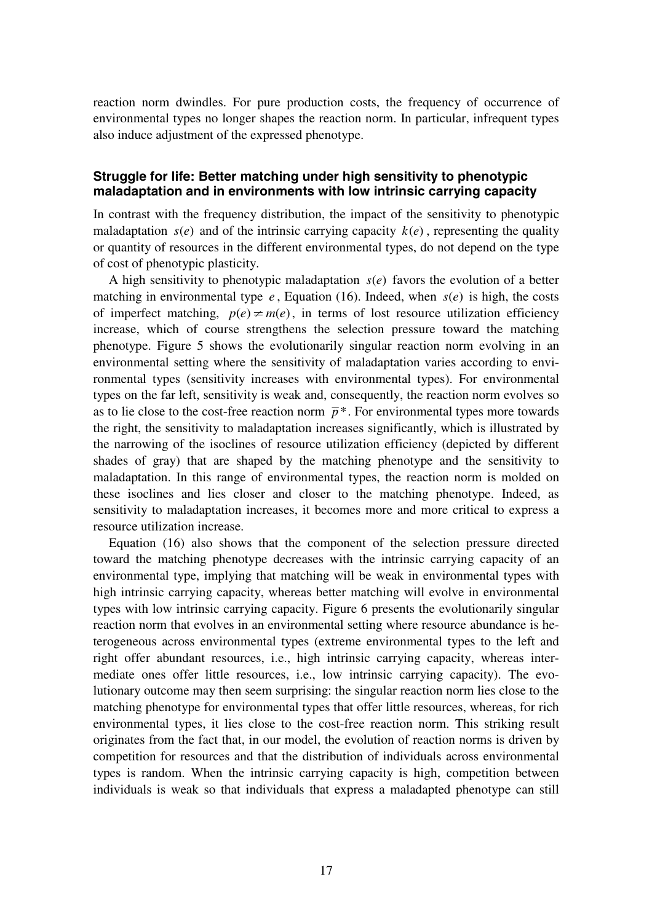reaction norm dwindles. For pure production costs, the frequency of occurrence of environmental types no longer shapes the reaction norm. In particular, infrequent types also induce adjustment of the expressed phenotype.

### **Struggle for life: Better matching under high sensitivity to phenotypic maladaptation and in environments with low intrinsic carrying capacity**

In contrast with the frequency distribution, the impact of the sensitivity to phenotypic maladaptation  $s(e)$  and of the intrinsic carrying capacity  $k(e)$ , representing the quality or quantity of resources in the different environmental types, do not depend on the type of cost of phenotypic plasticity.

A high sensitivity to phenotypic maladaptation  $s(e)$  favors the evolution of a better matching in environmental type  $e$ , Equation (16). Indeed, when  $s(e)$  is high, the costs of imperfect matching,  $p(e) \neq m(e)$ , in terms of lost resource utilization efficiency increase, which of course strengthens the selection pressure toward the matching phenotype. Figure 5 shows the evolutionarily singular reaction norm evolving in an environmental setting where the sensitivity of maladaptation varies according to environmental types (sensitivity increases with environmental types). For environmental types on the far left, sensitivity is weak and, consequently, the reaction norm evolves so as to lie close to the cost-free reaction norm  $\bar{p}^*$ . For environmental types more towards the right, the sensitivity to maladaptation increases significantly, which is illustrated by the narrowing of the isoclines of resource utilization efficiency (depicted by different shades of gray) that are shaped by the matching phenotype and the sensitivity to maladaptation. In this range of environmental types, the reaction norm is molded on these isoclines and lies closer and closer to the matching phenotype. Indeed, as sensitivity to maladaptation increases, it becomes more and more critical to express a resource utilization increase.

Equation (16) also shows that the component of the selection pressure directed toward the matching phenotype decreases with the intrinsic carrying capacity of an environmental type, implying that matching will be weak in environmental types with high intrinsic carrying capacity, whereas better matching will evolve in environmental types with low intrinsic carrying capacity. Figure 6 presents the evolutionarily singular reaction norm that evolves in an environmental setting where resource abundance is heterogeneous across environmental types (extreme environmental types to the left and right offer abundant resources, i.e., high intrinsic carrying capacity, whereas intermediate ones offer little resources, i.e., low intrinsic carrying capacity). The evolutionary outcome may then seem surprising: the singular reaction norm lies close to the matching phenotype for environmental types that offer little resources, whereas, for rich environmental types, it lies close to the cost-free reaction norm. This striking result originates from the fact that, in our model, the evolution of reaction norms is driven by competition for resources and that the distribution of individuals across environmental types is random. When the intrinsic carrying capacity is high, competition between individuals is weak so that individuals that express a maladapted phenotype can still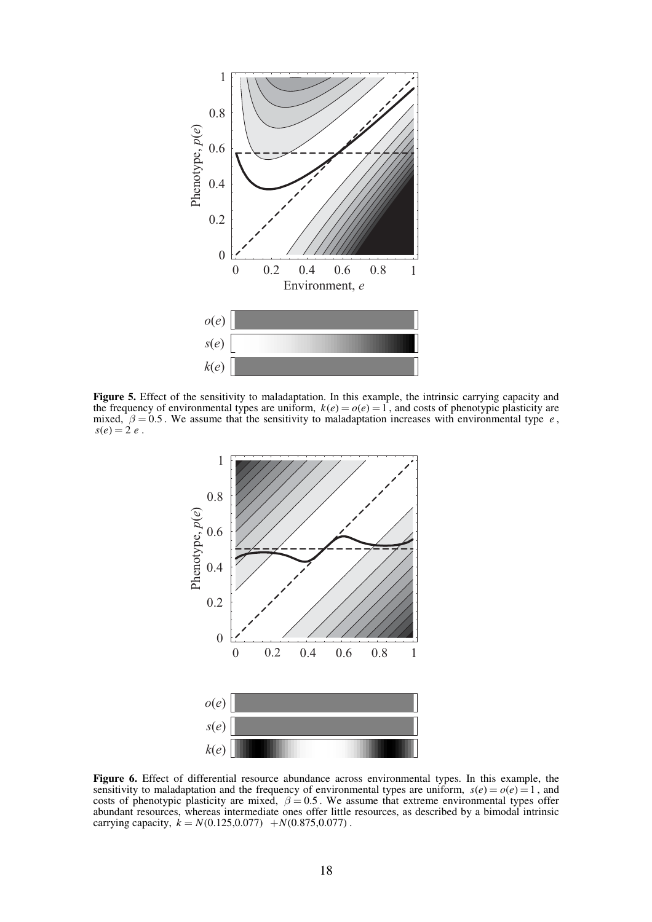

**Figure 5.** Effect of the sensitivity to maladaptation. In this example, the intrinsic carrying capacity and the frequency of environmental types are uniform,  $k(e) = o(e) = 1$ , and costs of phenotypic plasticity are mixed,  $\beta = 0.5$ . We assume that the sensitivity to maladaptation increases with environmental type *e*,  $s(e) = 2 e$ .



**Figure 6.** Effect of differential resource abundance across environmental types. In this example, the sensitivity to maladaptation and the frequency of environmental types are uniform,  $s(e) = o(e) = 1$ , and costs of phenotypic plasticity are mixed,  $\beta = 0.5$ . We assume that extreme environmental types offer abundant resources, whereas intermediate ones offer little resources, as described by a bimodal intrinsic carrying capacity,  $k = N(0.125, 0.077) + N(0.875, 0.077)$ .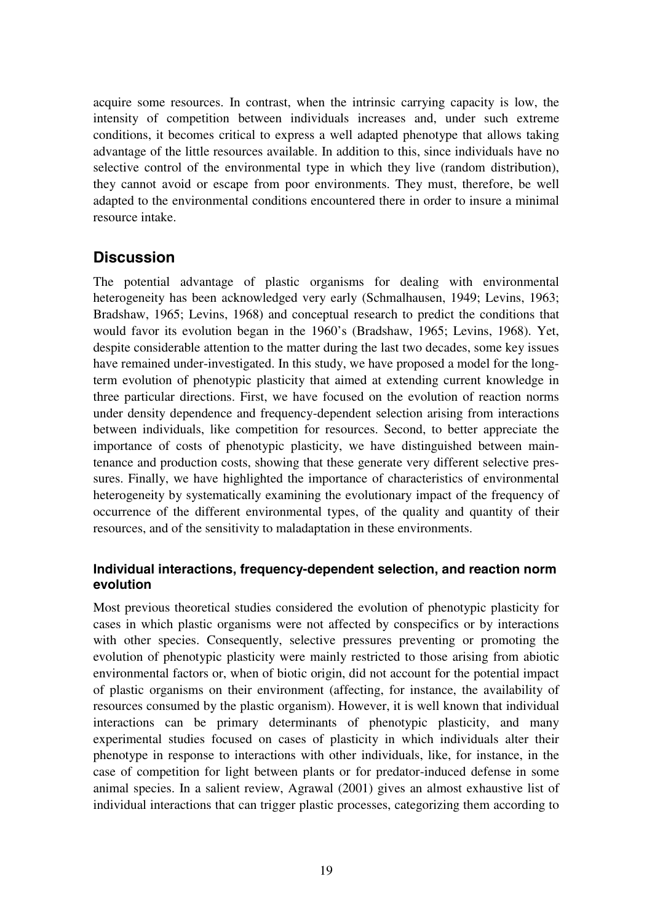acquire some resources. In contrast, when the intrinsic carrying capacity is low, the intensity of competition between individuals increases and, under such extreme conditions, it becomes critical to express a well adapted phenotype that allows taking advantage of the little resources available. In addition to this, since individuals have no selective control of the environmental type in which they live (random distribution), they cannot avoid or escape from poor environments. They must, therefore, be well adapted to the environmental conditions encountered there in order to insure a minimal resource intake.

## **Discussion**

The potential advantage of plastic organisms for dealing with environmental heterogeneity has been acknowledged very early (Schmalhausen, 1949; Levins, 1963; Bradshaw, 1965; Levins, 1968) and conceptual research to predict the conditions that would favor its evolution began in the 1960's (Bradshaw, 1965; Levins, 1968). Yet, despite considerable attention to the matter during the last two decades, some key issues have remained under-investigated. In this study, we have proposed a model for the longterm evolution of phenotypic plasticity that aimed at extending current knowledge in three particular directions. First, we have focused on the evolution of reaction norms under density dependence and frequency-dependent selection arising from interactions between individuals, like competition for resources. Second, to better appreciate the importance of costs of phenotypic plasticity, we have distinguished between maintenance and production costs, showing that these generate very different selective pressures. Finally, we have highlighted the importance of characteristics of environmental heterogeneity by systematically examining the evolutionary impact of the frequency of occurrence of the different environmental types, of the quality and quantity of their resources, and of the sensitivity to maladaptation in these environments.

## **Individual interactions, frequency-dependent selection, and reaction norm evolution**

Most previous theoretical studies considered the evolution of phenotypic plasticity for cases in which plastic organisms were not affected by conspecifics or by interactions with other species. Consequently, selective pressures preventing or promoting the evolution of phenotypic plasticity were mainly restricted to those arising from abiotic environmental factors or, when of biotic origin, did not account for the potential impact of plastic organisms on their environment (affecting, for instance, the availability of resources consumed by the plastic organism). However, it is well known that individual interactions can be primary determinants of phenotypic plasticity, and many experimental studies focused on cases of plasticity in which individuals alter their phenotype in response to interactions with other individuals, like, for instance, in the case of competition for light between plants or for predator-induced defense in some animal species. In a salient review, Agrawal (2001) gives an almost exhaustive list of individual interactions that can trigger plastic processes, categorizing them according to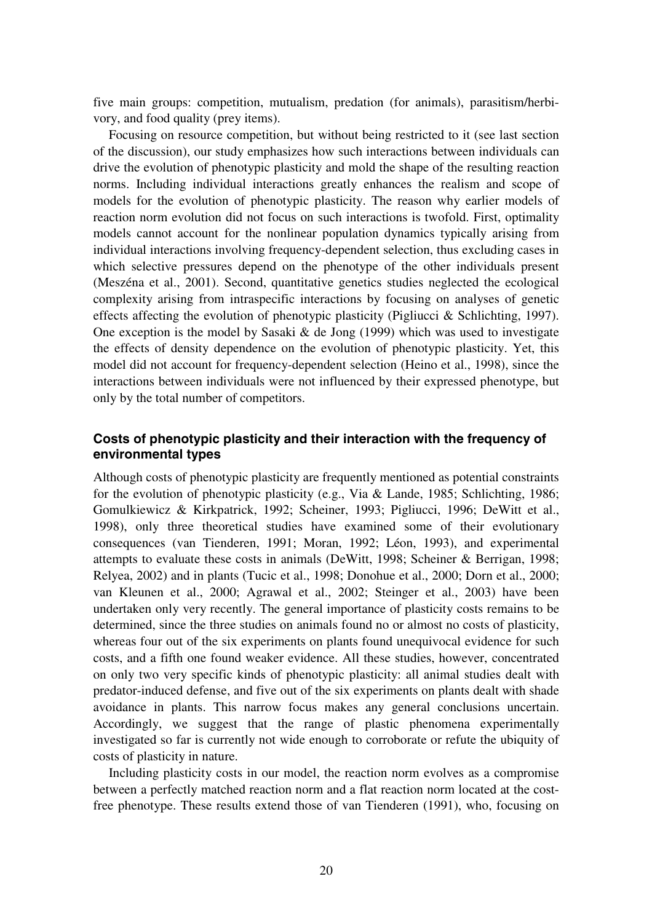five main groups: competition, mutualism, predation (for animals), parasitism/herbivory, and food quality (prey items).

Focusing on resource competition, but without being restricted to it (see last section of the discussion), our study emphasizes how such interactions between individuals can drive the evolution of phenotypic plasticity and mold the shape of the resulting reaction norms. Including individual interactions greatly enhances the realism and scope of models for the evolution of phenotypic plasticity. The reason why earlier models of reaction norm evolution did not focus on such interactions is twofold. First, optimality models cannot account for the nonlinear population dynamics typically arising from individual interactions involving frequency-dependent selection, thus excluding cases in which selective pressures depend on the phenotype of the other individuals present (Meszéna et al., 2001). Second, quantitative genetics studies neglected the ecological complexity arising from intraspecific interactions by focusing on analyses of genetic effects affecting the evolution of phenotypic plasticity (Pigliucci & Schlichting, 1997). One exception is the model by Sasaki & de Jong (1999) which was used to investigate the effects of density dependence on the evolution of phenotypic plasticity. Yet, this model did not account for frequency-dependent selection (Heino et al., 1998), since the interactions between individuals were not influenced by their expressed phenotype, but only by the total number of competitors.

## **Costs of phenotypic plasticity and their interaction with the frequency of environmental types**

Although costs of phenotypic plasticity are frequently mentioned as potential constraints for the evolution of phenotypic plasticity (e.g., Via & Lande, 1985; Schlichting, 1986; Gomulkiewicz & Kirkpatrick, 1992; Scheiner, 1993; Pigliucci, 1996; DeWitt et al., 1998), only three theoretical studies have examined some of their evolutionary consequences (van Tienderen, 1991; Moran, 1992; Léon, 1993), and experimental attempts to evaluate these costs in animals (DeWitt, 1998; Scheiner & Berrigan, 1998; Relyea, 2002) and in plants (Tucic et al., 1998; Donohue et al., 2000; Dorn et al., 2000; van Kleunen et al., 2000; Agrawal et al., 2002; Steinger et al., 2003) have been undertaken only very recently. The general importance of plasticity costs remains to be determined, since the three studies on animals found no or almost no costs of plasticity, whereas four out of the six experiments on plants found unequivocal evidence for such costs, and a fifth one found weaker evidence. All these studies, however, concentrated on only two very specific kinds of phenotypic plasticity: all animal studies dealt with predator-induced defense, and five out of the six experiments on plants dealt with shade avoidance in plants. This narrow focus makes any general conclusions uncertain. Accordingly, we suggest that the range of plastic phenomena experimentally investigated so far is currently not wide enough to corroborate or refute the ubiquity of costs of plasticity in nature.

Including plasticity costs in our model, the reaction norm evolves as a compromise between a perfectly matched reaction norm and a flat reaction norm located at the costfree phenotype. These results extend those of van Tienderen (1991), who, focusing on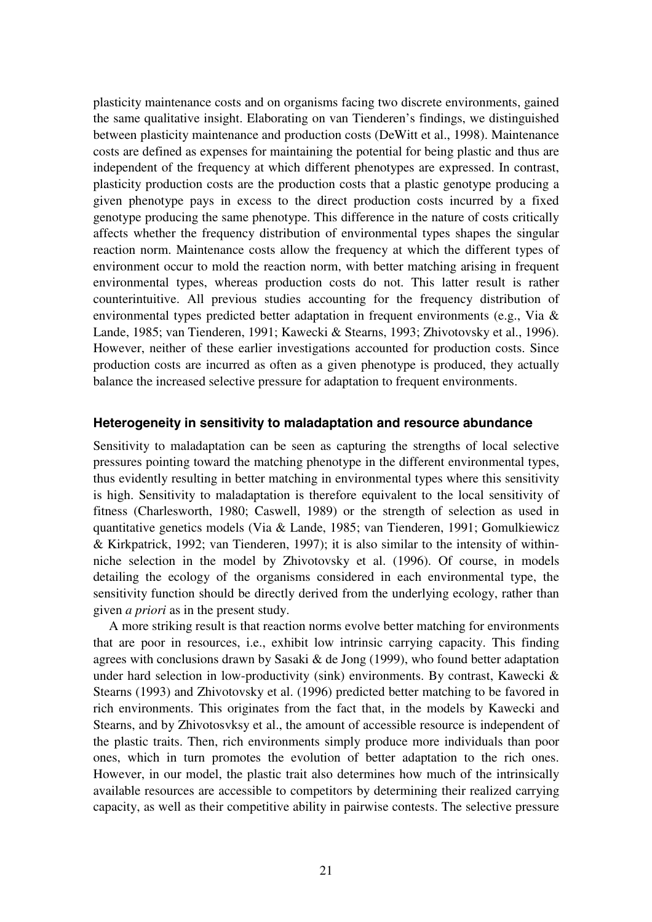plasticity maintenance costs and on organisms facing two discrete environments, gained the same qualitative insight. Elaborating on van Tienderen's findings, we distinguished between plasticity maintenance and production costs (DeWitt et al., 1998). Maintenance costs are defined as expenses for maintaining the potential for being plastic and thus are independent of the frequency at which different phenotypes are expressed. In contrast, plasticity production costs are the production costs that a plastic genotype producing a given phenotype pays in excess to the direct production costs incurred by a fixed genotype producing the same phenotype. This difference in the nature of costs critically affects whether the frequency distribution of environmental types shapes the singular reaction norm. Maintenance costs allow the frequency at which the different types of environment occur to mold the reaction norm, with better matching arising in frequent environmental types, whereas production costs do not. This latter result is rather counterintuitive. All previous studies accounting for the frequency distribution of environmental types predicted better adaptation in frequent environments (e.g., Via & Lande, 1985; van Tienderen, 1991; Kawecki & Stearns, 1993; Zhivotovsky et al., 1996). However, neither of these earlier investigations accounted for production costs. Since production costs are incurred as often as a given phenotype is produced, they actually balance the increased selective pressure for adaptation to frequent environments.

#### **Heterogeneity in sensitivity to maladaptation and resource abundance**

Sensitivity to maladaptation can be seen as capturing the strengths of local selective pressures pointing toward the matching phenotype in the different environmental types, thus evidently resulting in better matching in environmental types where this sensitivity is high. Sensitivity to maladaptation is therefore equivalent to the local sensitivity of fitness (Charlesworth, 1980; Caswell, 1989) or the strength of selection as used in quantitative genetics models (Via & Lande, 1985; van Tienderen, 1991; Gomulkiewicz & Kirkpatrick, 1992; van Tienderen, 1997); it is also similar to the intensity of withinniche selection in the model by Zhivotovsky et al. (1996). Of course, in models detailing the ecology of the organisms considered in each environmental type, the sensitivity function should be directly derived from the underlying ecology, rather than given *a priori* as in the present study.

A more striking result is that reaction norms evolve better matching for environments that are poor in resources, i.e., exhibit low intrinsic carrying capacity. This finding agrees with conclusions drawn by Sasaki & de Jong (1999), who found better adaptation under hard selection in low-productivity (sink) environments. By contrast, Kawecki  $\&$ Stearns (1993) and Zhivotovsky et al. (1996) predicted better matching to be favored in rich environments. This originates from the fact that, in the models by Kawecki and Stearns, and by Zhivotosvksy et al., the amount of accessible resource is independent of the plastic traits. Then, rich environments simply produce more individuals than poor ones, which in turn promotes the evolution of better adaptation to the rich ones. However, in our model, the plastic trait also determines how much of the intrinsically available resources are accessible to competitors by determining their realized carrying capacity, as well as their competitive ability in pairwise contests. The selective pressure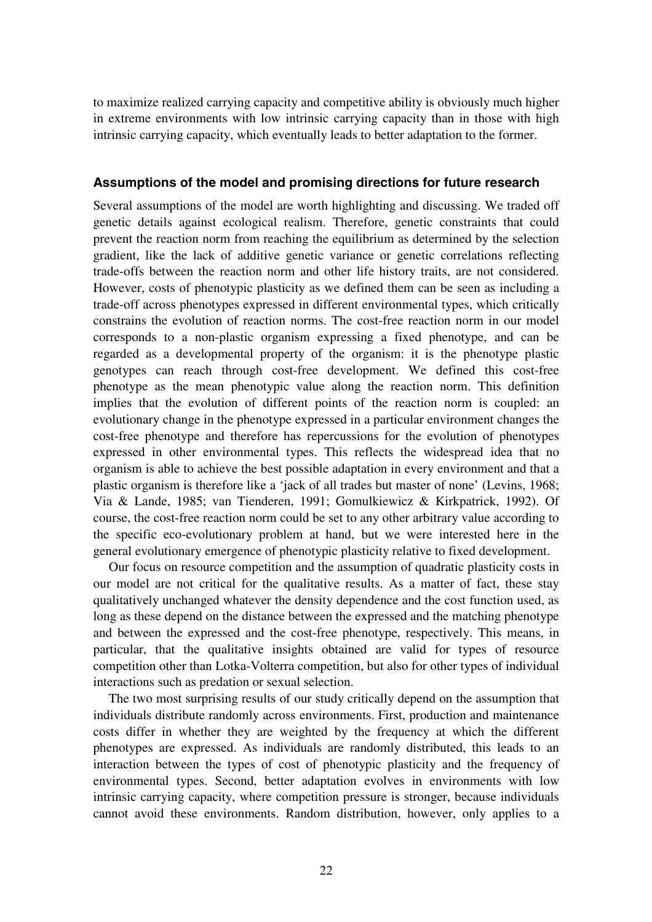to maximize realized carrying capacity and competitive ability is obviously much higher in extreme environments with low intrinsic carrying capacity than in those with high intrinsic carrying capacity, which eventually leads to better adaptation to the former.

### **Assumptions of the model and promising directions for future research**

Several assumptions of the model are worth highlighting and discussing. We traded off genetic details against ecological realism. Therefore, genetic constraints that could prevent the reaction norm from reaching the equilibrium as determined by the selection gradient, like the lack of additive genetic variance or genetic correlations reflecting trade-offs between the reaction norm and other life history traits, are not considered. However, costs of phenotypic plasticity as we defined them can be seen as including a trade-off across phenotypes expressed in different environmental types, which critically constrains the evolution of reaction norms. The cost-free reaction norm in our model corresponds to a non-plastic organism expressing a fixed phenotype, and can be regarded as a developmental property of the organism: it is the phenotype plastic genotypes can reach through cost-free development. We defined this cost-free phenotype as the mean phenotypic value along the reaction norm. This definition implies that the evolution of different points of the reaction norm is coupled: an evolutionary change in the phenotype expressed in a particular environment changes the cost-free phenotype and therefore has repercussions for the evolution of phenotypes expressed in other environmental types. This reflects the widespread idea that no organism is able to achieve the best possible adaptation in every environment and that a plastic organism is therefore like a 'jack of all trades but master of none' (Levins, 1968; Via & Lande, 1985; van Tienderen, 1991; Gomulkiewicz & Kirkpatrick, 1992). Of course, the cost-free reaction norm could be set to any other arbitrary value according to the specific eco-evolutionary problem at hand, but we were interested here in the general evolutionary emergence of phenotypic plasticity relative to fixed development.

Our focus on resource competition and the assumption of quadratic plasticity costs in our model are not critical for the qualitative results. As a matter of fact, these stay qualitatively unchanged whatever the density dependence and the cost function used, as long as these depend on the distance between the expressed and the matching phenotype and between the expressed and the cost-free phenotype, respectively. This means, in particular, that the qualitative insights obtained are valid for types of resource competition other than Lotka-Volterra competition, but also for other types of individual interactions such as predation or sexual selection.

The two most surprising results of our study critically depend on the assumption that individuals distribute randomly across environments. First, production and maintenance costs differ in whether they are weighted by the frequency at which the different phenotypes are expressed. As individuals are randomly distributed, this leads to an interaction between the types of cost of phenotypic plasticity and the frequency of environmental types. Second, better adaptation evolves in environments with low intrinsic carrying capacity, where competition pressure is stronger, because individuals cannot avoid these environments. Random distribution, however, only applies to a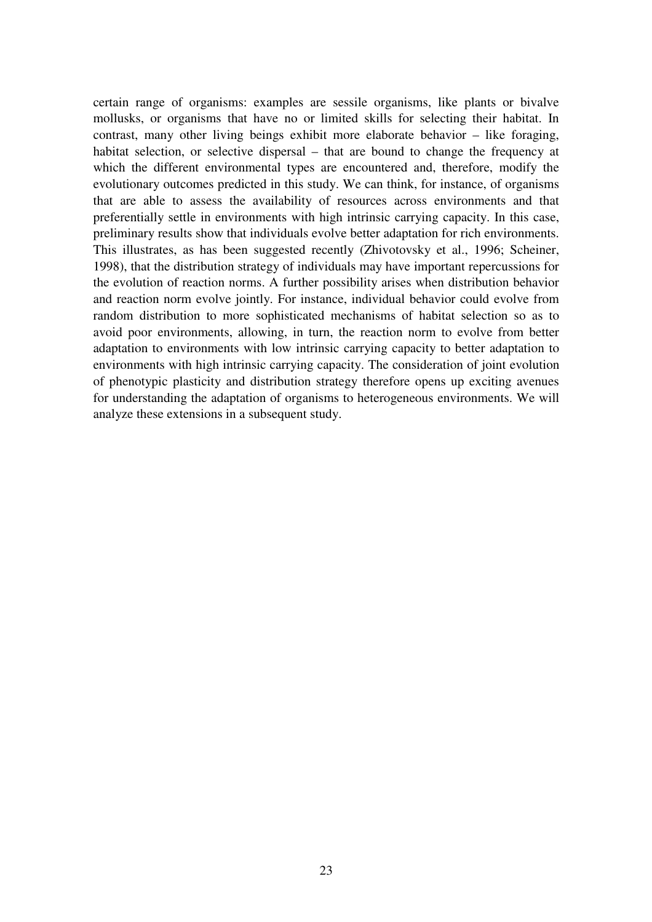certain range of organisms: examples are sessile organisms, like plants or bivalve mollusks, or organisms that have no or limited skills for selecting their habitat. In contrast, many other living beings exhibit more elaborate behavior – like foraging, habitat selection, or selective dispersal – that are bound to change the frequency at which the different environmental types are encountered and, therefore, modify the evolutionary outcomes predicted in this study. We can think, for instance, of organisms that are able to assess the availability of resources across environments and that preferentially settle in environments with high intrinsic carrying capacity. In this case, preliminary results show that individuals evolve better adaptation for rich environments. This illustrates, as has been suggested recently (Zhivotovsky et al., 1996; Scheiner, 1998), that the distribution strategy of individuals may have important repercussions for the evolution of reaction norms. A further possibility arises when distribution behavior and reaction norm evolve jointly. For instance, individual behavior could evolve from random distribution to more sophisticated mechanisms of habitat selection so as to avoid poor environments, allowing, in turn, the reaction norm to evolve from better adaptation to environments with low intrinsic carrying capacity to better adaptation to environments with high intrinsic carrying capacity. The consideration of joint evolution of phenotypic plasticity and distribution strategy therefore opens up exciting avenues for understanding the adaptation of organisms to heterogeneous environments. We will analyze these extensions in a subsequent study.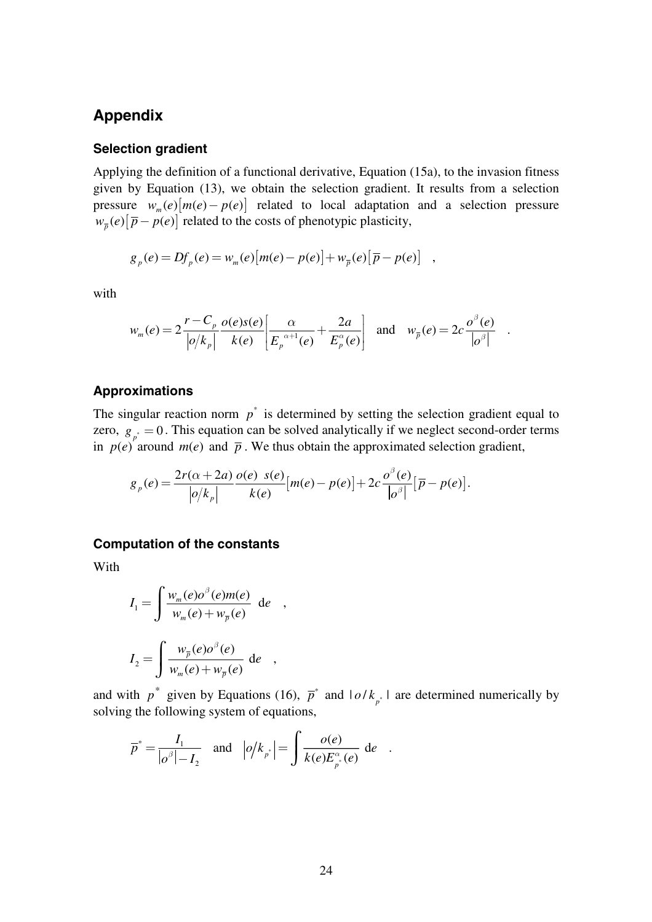# **Appendix**

#### **Selection gradient**

Applying the definition of a functional derivative, Equation (15a), to the invasion fitness given by Equation (13), we obtain the selection gradient. It results from a selection pressure  $w_m(e) [m(e) - p(e)]$  related to local adaptation and a selection pressure  $w_{\overline{p}}(e) [\overline{p} - p(e)]$  related to the costs of phenotypic plasticity,

$$
g_p(e) = Df_p(e) = w_m(e)[m(e) - p(e)] + w_{\bar{p}}(e)[\bar{p} - p(e)]
$$
,

with

$$
w_m(e) = 2\frac{r - C_p}{\left|\rho/k_p\right|} \frac{o(e)s(e)}{k(e)} \left[\frac{\alpha}{E_p^{\alpha+1}(e)} + \frac{2a}{E_p^{\alpha}(e)}\right] \text{ and } w_{\overline{p}}(e) = 2c \frac{o^{\beta}(e)}{\left|\rho^{\beta}\right|} .
$$

#### **Approximations**

The singular reaction norm  $p^*$  is determined by setting the selection gradient equal to zero,  $g_{\mu} = 0$ . This equation can be solved analytically if we neglect second-order terms in  $p(e)$ <sup>p</sup> around  $m(e)$  and  $\bar{p}$ . We thus obtain the approximated selection gradient,

$$
g_p(e) = \frac{2r(\alpha+2a)}{\left|o/k_p\right|}\frac{o(e) \ s(e)}{k(e)}\left[m(e) - p(e)\right] + 2c\frac{o^{\beta}(e)}{\left|o^{\beta}\right|}\left[\overline{p} - p(e)\right].
$$

#### **Computation of the constants**

With

$$
I_1 = \int \frac{w_m(e)\sigma^{\beta}(e)m(e)}{w_m(e) + w_{\overline{p}}(e)} de ,
$$
  

$$
I_2 = \int \frac{w_{\overline{p}}(e)\sigma^{\beta}(e)}{w_m(e) + w_{\overline{p}}(e)} de ,
$$

and with  $p^*$  given by Equations (16),  $\overline{p}^*$  and  $|o/k_{p^*}|$  are determined numerically by solving the following system of equations,

$$
\overline{p}^* = \frac{I_1}{|\rho^{\beta}| - I_2} \quad \text{and} \quad |\rho/k_{p^*}| = \int \frac{o(e)}{k(e)E_{p^*}^{\alpha}(e)} \, de \quad .
$$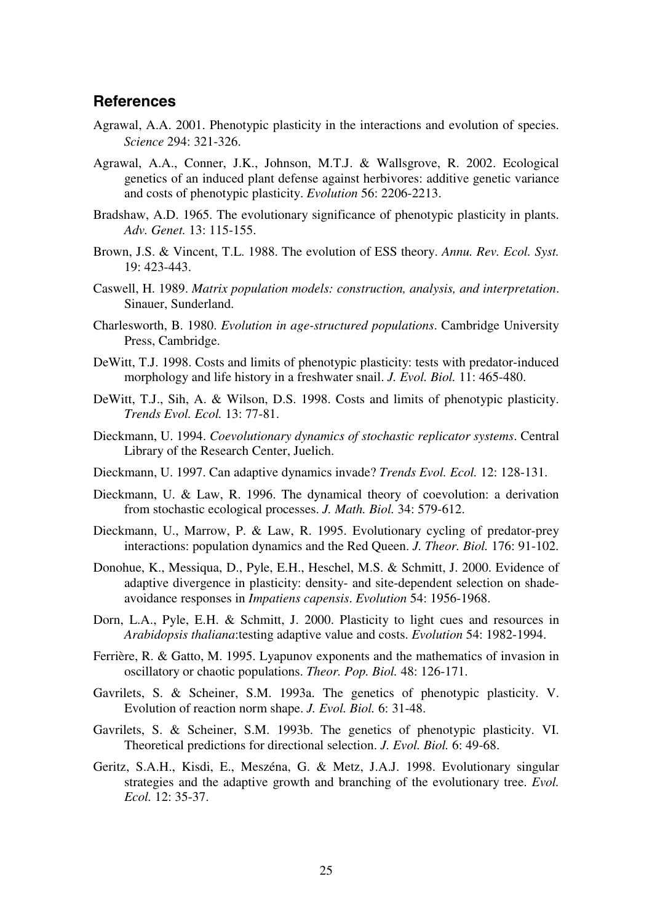## **References**

- Agrawal, A.A. 2001. Phenotypic plasticity in the interactions and evolution of species. *Science* 294: 321-326.
- Agrawal, A.A., Conner, J.K., Johnson, M.T.J. & Wallsgrove, R. 2002. Ecological genetics of an induced plant defense against herbivores: additive genetic variance and costs of phenotypic plasticity. *Evolution* 56: 2206-2213.
- Bradshaw, A.D. 1965. The evolutionary significance of phenotypic plasticity in plants. *Adv. Genet.* 13: 115-155.
- Brown, J.S. & Vincent, T.L. 1988. The evolution of ESS theory. *Annu. Rev. Ecol. Syst.* 19: 423-443.
- Caswell, H. 1989. *Matrix population models: construction, analysis, and interpretation*. Sinauer, Sunderland.
- Charlesworth, B. 1980. *Evolution in age-structured populations*. Cambridge University Press, Cambridge.
- DeWitt, T.J. 1998. Costs and limits of phenotypic plasticity: tests with predator-induced morphology and life history in a freshwater snail. *J. Evol. Biol.* 11: 465-480.
- DeWitt, T.J., Sih, A. & Wilson, D.S. 1998. Costs and limits of phenotypic plasticity. *Trends Evol. Ecol.* 13: 77-81.
- Dieckmann, U. 1994. *Coevolutionary dynamics of stochastic replicator systems*. Central Library of the Research Center, Juelich.
- Dieckmann, U. 1997. Can adaptive dynamics invade? *Trends Evol. Ecol.* 12: 128-131.
- Dieckmann, U. & Law, R. 1996. The dynamical theory of coevolution: a derivation from stochastic ecological processes. *J. Math. Biol.* 34: 579-612.
- Dieckmann, U., Marrow, P. & Law, R. 1995. Evolutionary cycling of predator-prey interactions: population dynamics and the Red Queen. *J. Theor. Biol.* 176: 91-102.
- Donohue, K., Messiqua, D., Pyle, E.H., Heschel, M.S. & Schmitt, J. 2000. Evidence of adaptive divergence in plasticity: density- and site-dependent selection on shadeavoidance responses in *Impatiens capensis*. *Evolution* 54: 1956-1968.
- Dorn, L.A., Pyle, E.H. & Schmitt, J. 2000. Plasticity to light cues and resources in *Arabidopsis thaliana*:testing adaptive value and costs. *Evolution* 54: 1982-1994.
- Ferrière, R. & Gatto, M. 1995. Lyapunov exponents and the mathematics of invasion in oscillatory or chaotic populations. *Theor. Pop. Biol.* 48: 126-171.
- Gavrilets, S. & Scheiner, S.M. 1993a. The genetics of phenotypic plasticity. V. Evolution of reaction norm shape. *J. Evol. Biol.* 6: 31-48.
- Gavrilets, S. & Scheiner, S.M. 1993b. The genetics of phenotypic plasticity. VI. Theoretical predictions for directional selection. *J. Evol. Biol.* 6: 49-68.
- Geritz, S.A.H., Kisdi, E., Meszéna, G. & Metz, J.A.J. 1998. Evolutionary singular strategies and the adaptive growth and branching of the evolutionary tree. *Evol. Ecol.* 12: 35-37.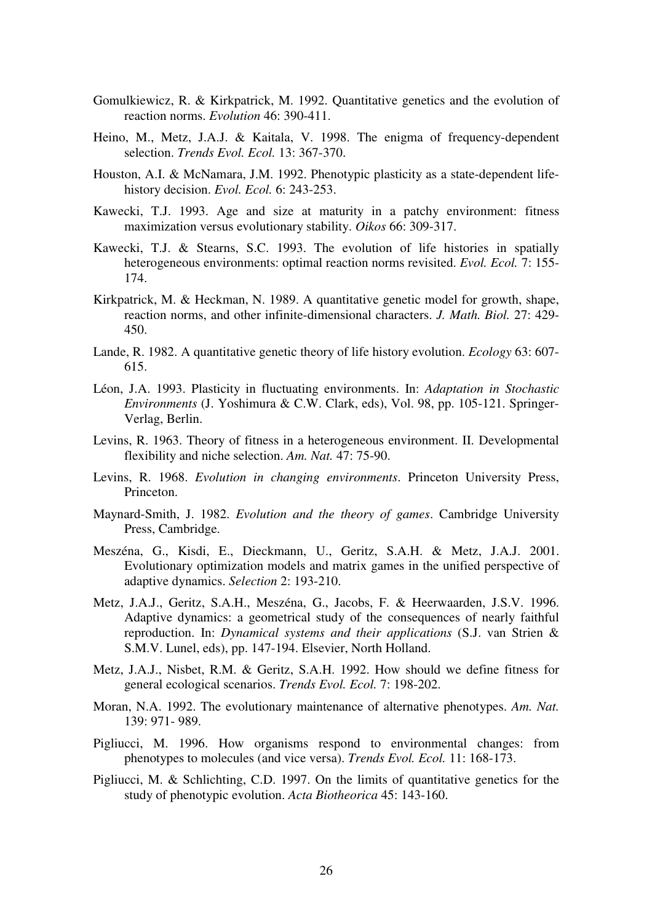- Gomulkiewicz, R. & Kirkpatrick, M. 1992. Quantitative genetics and the evolution of reaction norms. *Evolution* 46: 390-411.
- Heino, M., Metz, J.A.J. & Kaitala, V. 1998. The enigma of frequency-dependent selection. *Trends Evol. Ecol.* 13: 367-370.
- Houston, A.I. & McNamara, J.M. 1992. Phenotypic plasticity as a state-dependent lifehistory decision. *Evol. Ecol.* 6: 243-253.
- Kawecki, T.J. 1993. Age and size at maturity in a patchy environment: fitness maximization versus evolutionary stability. *Oikos* 66: 309-317.
- Kawecki, T.J. & Stearns, S.C. 1993. The evolution of life histories in spatially heterogeneous environments: optimal reaction norms revisited. *Evol. Ecol.* 7: 155- 174.
- Kirkpatrick, M. & Heckman, N. 1989. A quantitative genetic model for growth, shape, reaction norms, and other infinite-dimensional characters. *J. Math. Biol.* 27: 429- 450.
- Lande, R. 1982. A quantitative genetic theory of life history evolution. *Ecology* 63: 607- 615.
- Léon, J.A. 1993. Plasticity in fluctuating environments. In: *Adaptation in Stochastic Environments* (J. Yoshimura & C.W. Clark, eds), Vol. 98, pp. 105-121. Springer-Verlag, Berlin.
- Levins, R. 1963. Theory of fitness in a heterogeneous environment. II. Developmental flexibility and niche selection. *Am. Nat.* 47: 75-90.
- Levins, R. 1968. *Evolution in changing environments*. Princeton University Press, Princeton.
- Maynard-Smith, J. 1982. *Evolution and the theory of games*. Cambridge University Press, Cambridge.
- Meszéna, G., Kisdi, E., Dieckmann, U., Geritz, S.A.H. & Metz, J.A.J. 2001. Evolutionary optimization models and matrix games in the unified perspective of adaptive dynamics. *Selection* 2: 193-210.
- Metz, J.A.J., Geritz, S.A.H., Meszéna, G., Jacobs, F. & Heerwaarden, J.S.V. 1996. Adaptive dynamics: a geometrical study of the consequences of nearly faithful reproduction. In: *Dynamical systems and their applications* (S.J. van Strien & S.M.V. Lunel, eds), pp. 147-194. Elsevier, North Holland.
- Metz, J.A.J., Nisbet, R.M. & Geritz, S.A.H. 1992. How should we define fitness for general ecological scenarios. *Trends Evol. Ecol.* 7: 198-202.
- Moran, N.A. 1992. The evolutionary maintenance of alternative phenotypes. *Am. Nat.* 139: 971- 989.
- Pigliucci, M. 1996. How organisms respond to environmental changes: from phenotypes to molecules (and vice versa). *Trends Evol. Ecol.* 11: 168-173.
- Pigliucci, M. & Schlichting, C.D. 1997. On the limits of quantitative genetics for the study of phenotypic evolution. *Acta Biotheorica* 45: 143-160.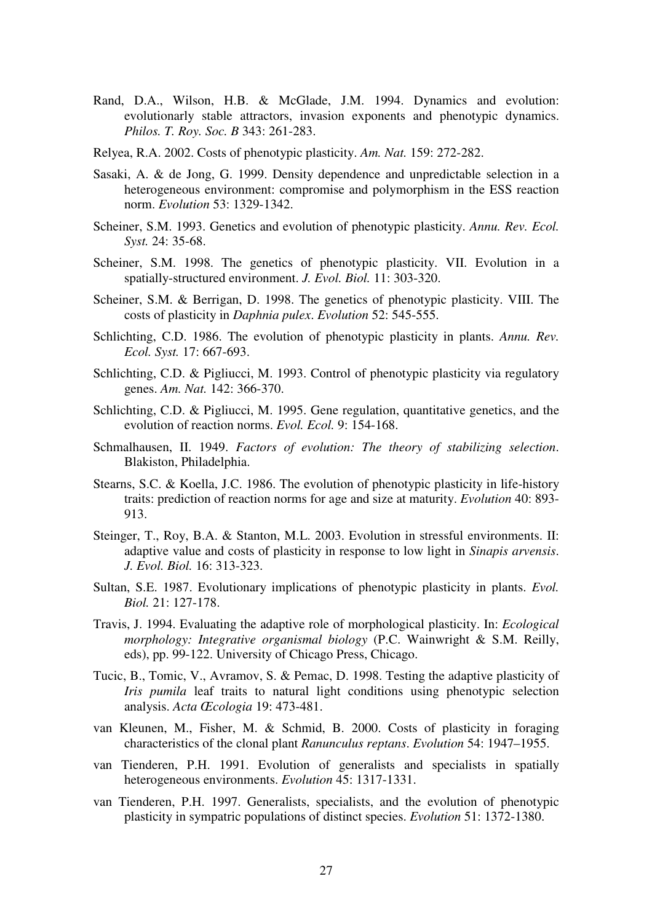- Rand, D.A., Wilson, H.B. & McGlade, J.M. 1994. Dynamics and evolution: evolutionarly stable attractors, invasion exponents and phenotypic dynamics. *Philos. T. Roy. Soc. B* 343: 261-283.
- Relyea, R.A. 2002. Costs of phenotypic plasticity. *Am. Nat.* 159: 272-282.
- Sasaki, A. & de Jong, G. 1999. Density dependence and unpredictable selection in a heterogeneous environment: compromise and polymorphism in the ESS reaction norm. *Evolution* 53: 1329-1342.
- Scheiner, S.M. 1993. Genetics and evolution of phenotypic plasticity. *Annu. Rev. Ecol. Syst.* 24: 35-68.
- Scheiner, S.M. 1998. The genetics of phenotypic plasticity. VII. Evolution in a spatially-structured environment. *J. Evol. Biol.* 11: 303-320.
- Scheiner, S.M. & Berrigan, D. 1998. The genetics of phenotypic plasticity. VIII. The costs of plasticity in *Daphnia pulex*. *Evolution* 52: 545-555.
- Schlichting, C.D. 1986. The evolution of phenotypic plasticity in plants. *Annu. Rev. Ecol. Syst.* 17: 667-693.
- Schlichting, C.D. & Pigliucci, M. 1993. Control of phenotypic plasticity via regulatory genes. *Am. Nat.* 142: 366-370.
- Schlichting, C.D. & Pigliucci, M. 1995. Gene regulation, quantitative genetics, and the evolution of reaction norms. *Evol. Ecol.* 9: 154-168.
- Schmalhausen, II. 1949. *Factors of evolution: The theory of stabilizing selection*. Blakiston, Philadelphia.
- Stearns, S.C. & Koella, J.C. 1986. The evolution of phenotypic plasticity in life-history traits: prediction of reaction norms for age and size at maturity. *Evolution* 40: 893- 913.
- Steinger, T., Roy, B.A. & Stanton, M.L. 2003. Evolution in stressful environments. II: adaptive value and costs of plasticity in response to low light in *Sinapis arvensis*. *J. Evol. Biol.* 16: 313-323.
- Sultan, S.E. 1987. Evolutionary implications of phenotypic plasticity in plants. *Evol. Biol.* 21: 127-178.
- Travis, J. 1994. Evaluating the adaptive role of morphological plasticity. In: *Ecological morphology: Integrative organismal biology* (P.C. Wainwright & S.M. Reilly, eds), pp. 99-122. University of Chicago Press, Chicago.
- Tucic, B., Tomic, V., Avramov, S. & Pemac, D. 1998. Testing the adaptive plasticity of *Iris pumila* leaf traits to natural light conditions using phenotypic selection analysis. *Acta Œcologia* 19: 473-481.
- van Kleunen, M., Fisher, M. & Schmid, B. 2000. Costs of plasticity in foraging characteristics of the clonal plant *Ranunculus reptans*. *Evolution* 54: 1947–1955.
- van Tienderen, P.H. 1991. Evolution of generalists and specialists in spatially heterogeneous environments. *Evolution* 45: 1317-1331.
- van Tienderen, P.H. 1997. Generalists, specialists, and the evolution of phenotypic plasticity in sympatric populations of distinct species. *Evolution* 51: 1372-1380.